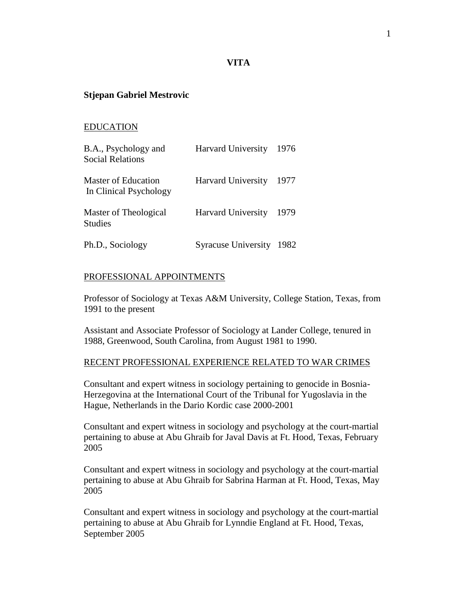## **VITA**

### **Stjepan Gabriel Mestrovic**

### EDUCATION

| B.A., Psychology and<br><b>Social Relations</b> | Harvard University         | 1976 |
|-------------------------------------------------|----------------------------|------|
| Master of Education<br>In Clinical Psychology   | <b>Harvard University</b>  | 1977 |
| Master of Theological<br><b>Studies</b>         | <b>Harvard University</b>  | 1979 |
| Ph.D., Sociology                                | <b>Syracuse University</b> | 1982 |

### PROFESSIONAL APPOINTMENTS

Professor of Sociology at Texas A&M University, College Station, Texas, from 1991 to the present

Assistant and Associate Professor of Sociology at Lander College, tenured in 1988, Greenwood, South Carolina, from August 1981 to 1990.

#### RECENT PROFESSIONAL EXPERIENCE RELATED TO WAR CRIMES

Consultant and expert witness in sociology pertaining to genocide in Bosnia-Herzegovina at the International Court of the Tribunal for Yugoslavia in the Hague, Netherlands in the Dario Kordic case 2000-2001

Consultant and expert witness in sociology and psychology at the court-martial pertaining to abuse at Abu Ghraib for Javal Davis at Ft. Hood, Texas, February 2005

Consultant and expert witness in sociology and psychology at the court-martial pertaining to abuse at Abu Ghraib for Sabrina Harman at Ft. Hood, Texas, May 2005

Consultant and expert witness in sociology and psychology at the court-martial pertaining to abuse at Abu Ghraib for Lynndie England at Ft. Hood, Texas, September 2005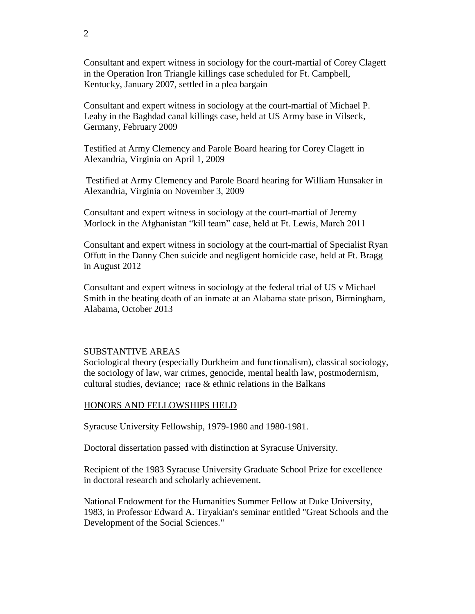Consultant and expert witness in sociology for the court-martial of Corey Clagett in the Operation Iron Triangle killings case scheduled for Ft. Campbell, Kentucky, January 2007, settled in a plea bargain

Consultant and expert witness in sociology at the court-martial of Michael P. Leahy in the Baghdad canal killings case, held at US Army base in Vilseck, Germany, February 2009

Testified at Army Clemency and Parole Board hearing for Corey Clagett in Alexandria, Virginia on April 1, 2009

Testified at Army Clemency and Parole Board hearing for William Hunsaker in Alexandria, Virginia on November 3, 2009

Consultant and expert witness in sociology at the court-martial of Jeremy Morlock in the Afghanistan "kill team" case, held at Ft. Lewis, March 2011

Consultant and expert witness in sociology at the court-martial of Specialist Ryan Offutt in the Danny Chen suicide and negligent homicide case, held at Ft. Bragg in August 2012

Consultant and expert witness in sociology at the federal trial of US v Michael Smith in the beating death of an inmate at an Alabama state prison, Birmingham, Alabama, October 2013

### SUBSTANTIVE AREAS

Sociological theory (especially Durkheim and functionalism), classical sociology, the sociology of law, war crimes, genocide, mental health law, postmodernism, cultural studies, deviance; race  $\&$  ethnic relations in the Balkans

#### HONORS AND FELLOWSHIPS HELD

Syracuse University Fellowship, 1979-1980 and 1980-1981.

Doctoral dissertation passed with distinction at Syracuse University.

Recipient of the 1983 Syracuse University Graduate School Prize for excellence in doctoral research and scholarly achievement.

National Endowment for the Humanities Summer Fellow at Duke University, 1983, in Professor Edward A. Tiryakian's seminar entitled "Great Schools and the Development of the Social Sciences."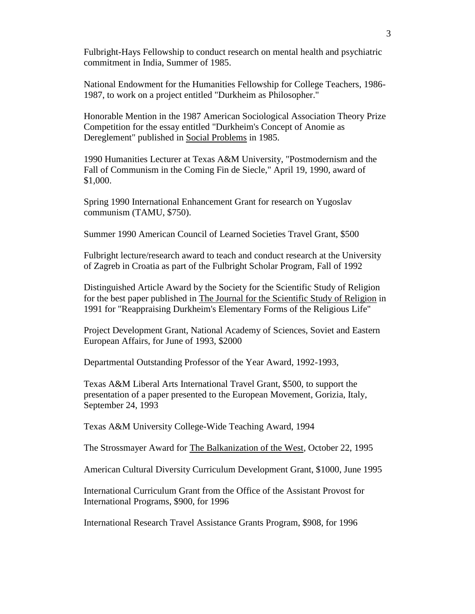Fulbright-Hays Fellowship to conduct research on mental health and psychiatric commitment in India, Summer of 1985.

National Endowment for the Humanities Fellowship for College Teachers, 1986- 1987, to work on a project entitled "Durkheim as Philosopher."

Honorable Mention in the 1987 American Sociological Association Theory Prize Competition for the essay entitled "Durkheim's Concept of Anomie as Dereglement" published in Social Problems in 1985.

1990 Humanities Lecturer at Texas A&M University, "Postmodernism and the Fall of Communism in the Coming Fin de Siecle," April 19, 1990, award of \$1,000.

Spring 1990 International Enhancement Grant for research on Yugoslav communism (TAMU, \$750).

Summer 1990 American Council of Learned Societies Travel Grant, \$500

Fulbright lecture/research award to teach and conduct research at the University of Zagreb in Croatia as part of the Fulbright Scholar Program, Fall of 1992

Distinguished Article Award by the Society for the Scientific Study of Religion for the best paper published in The Journal for the Scientific Study of Religion in 1991 for "Reappraising Durkheim's Elementary Forms of the Religious Life"

Project Development Grant, National Academy of Sciences, Soviet and Eastern European Affairs, for June of 1993, \$2000

Departmental Outstanding Professor of the Year Award, 1992-1993,

Texas A&M Liberal Arts International Travel Grant, \$500, to support the presentation of a paper presented to the European Movement, Gorizia, Italy, September 24, 1993

Texas A&M University College-Wide Teaching Award, 1994

The Strossmayer Award for The Balkanization of the West, October 22, 1995

American Cultural Diversity Curriculum Development Grant, \$1000, June 1995

International Curriculum Grant from the Office of the Assistant Provost for International Programs, \$900, for 1996

International Research Travel Assistance Grants Program, \$908, for 1996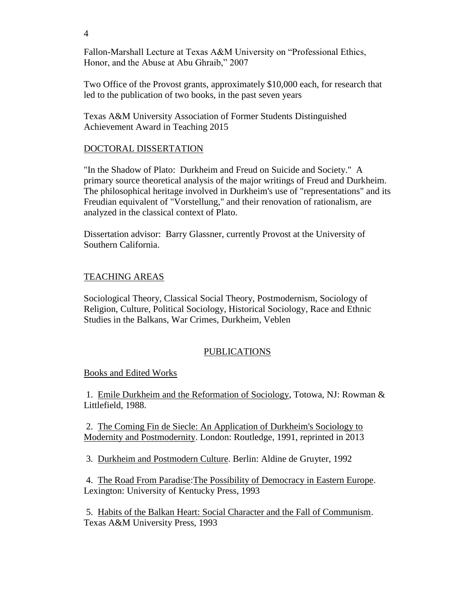Fallon-Marshall Lecture at Texas A&M University on "Professional Ethics, Honor, and the Abuse at Abu Ghraib," 2007

Two Office of the Provost grants, approximately \$10,000 each, for research that led to the publication of two books, in the past seven years

Texas A&M University Association of Former Students Distinguished Achievement Award in Teaching 2015

## DOCTORAL DISSERTATION

"In the Shadow of Plato: Durkheim and Freud on Suicide and Society." A primary source theoretical analysis of the major writings of Freud and Durkheim. The philosophical heritage involved in Durkheim's use of "representations" and its Freudian equivalent of "Vorstellung," and their renovation of rationalism, are analyzed in the classical context of Plato.

Dissertation advisor: Barry Glassner, currently Provost at the University of Southern California.

## TEACHING AREAS

Sociological Theory, Classical Social Theory, Postmodernism, Sociology of Religion, Culture, Political Sociology, Historical Sociology, Race and Ethnic Studies in the Balkans, War Crimes, Durkheim, Veblen

# PUBLICATIONS

## Books and Edited Works

1. Emile Durkheim and the Reformation of Sociology, Totowa, NJ: Rowman & Littlefield, 1988.

2. The Coming Fin de Siecle: An Application of Durkheim's Sociology to Modernity and Postmodernity. London: Routledge, 1991, reprinted in 2013

3. Durkheim and Postmodern Culture. Berlin: Aldine de Gruyter, 1992

4. The Road From Paradise:The Possibility of Democracy in Eastern Europe. Lexington: University of Kentucky Press, 1993

5. Habits of the Balkan Heart: Social Character and the Fall of Communism. Texas A&M University Press, 1993

4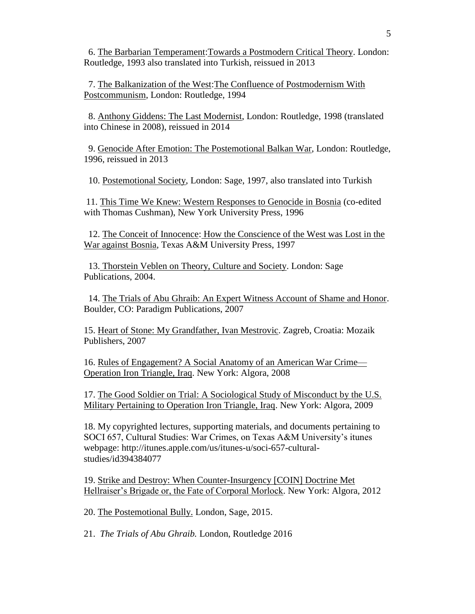6. The Barbarian Temperament:Towards a Postmodern Critical Theory. London: Routledge, 1993 also translated into Turkish, reissued in 2013

 7. The Balkanization of the West:The Confluence of Postmodernism With Postcommunism, London: Routledge, 1994

 8. Anthony Giddens: The Last Modernist, London: Routledge, 1998 (translated into Chinese in 2008), reissued in 2014

 9. Genocide After Emotion: The Postemotional Balkan War, London: Routledge, 1996, reissued in 2013

10. Postemotional Society, London: Sage, 1997, also translated into Turkish

11. This Time We Knew: Western Responses to Genocide in Bosnia (co-edited with Thomas Cushman), New York University Press, 1996

 12. The Conceit of Innocence: How the Conscience of the West was Lost in the War against Bosnia, Texas A&M University Press, 1997

 13. Thorstein Veblen on Theory, Culture and Society. London: Sage Publications, 2004.

 14. The Trials of Abu Ghraib: An Expert Witness Account of Shame and Honor. Boulder, CO: Paradigm Publications, 2007

15. Heart of Stone: My Grandfather, Ivan Mestrovic. Zagreb, Croatia: Mozaik Publishers, 2007

16. Rules of Engagement? A Social Anatomy of an American War Crime— Operation Iron Triangle, Iraq. New York: Algora, 2008

17. The Good Soldier on Trial: A Sociological Study of Misconduct by the U.S. Military Pertaining to Operation Iron Triangle, Iraq. New York: Algora, 2009

18. My copyrighted lectures, supporting materials, and documents pertaining to SOCI 657, Cultural Studies: War Crimes, on Texas A&M University's itunes webpage: http://itunes.apple.com/us/itunes-u/soci-657-culturalstudies/id394384077

19. Strike and Destroy: When Counter-Insurgency [COIN] Doctrine Met Hellraiser's Brigade or, the Fate of Corporal Morlock. New York: Algora, 2012

20. The Postemotional Bully. London, Sage, 2015.

21. *The Trials of Abu Ghraib.* London, Routledge 2016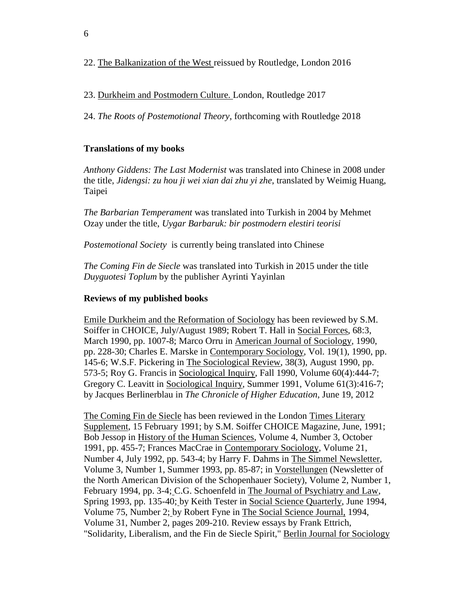23. Durkheim and Postmodern Culture. London, Routledge 2017

24. *The Roots of Postemotional Theory*, forthcoming with Routledge 2018

# **Translations of my books**

*Anthony Giddens: The Last Modernist* was translated into Chinese in 2008 under the title, *Jidengsi: zu hou ji wei xian dai zhu yi zhe*, translated by Weimig Huang, Taipei

*The Barbarian Temperament* was translated into Turkish in 2004 by Mehmet Ozay under the title, *Uygar Barbaruk: bir postmodern elestiri teorisi*

*Postemotional Society* is currently being translated into Chinese

*The Coming Fin de Siecle* was translated into Turkish in 2015 under the title *Duyguotesi Toplum* by the publisher Ayrinti Yayinlan

# **Reviews of my published books**

Emile Durkheim and the Reformation of Sociology has been reviewed by S.M. Soiffer in CHOICE, July/August 1989; Robert T. Hall in Social Forces, 68:3, March 1990, pp. 1007-8; Marco Orru in American Journal of Sociology, 1990, pp. 228-30; Charles E. Marske in Contemporary Sociology, Vol. 19(1), 1990, pp. 145-6; W.S.F. Pickering in The Sociological Review, 38(3), August 1990, pp. 573-5; Roy G. Francis in Sociological Inquiry, Fall 1990, Volume 60(4):444-7; Gregory C. Leavitt in Sociological Inquiry, Summer 1991, Volume 61(3):416-7; by Jacques Berlinerblau in *The Chronicle of Higher Education*, June 19, 2012

The Coming Fin de Siecle has been reviewed in the London Times Literary Supplement, 15 February 1991; by S.M. Soiffer CHOICE Magazine, June, 1991; Bob Jessop in History of the Human Sciences, Volume 4, Number 3, October 1991, pp. 455-7; Frances MacCrae in Contemporary Sociology, Volume 21, Number 4, July 1992, pp. 543-4; by Harry F. Dahms in The Simmel Newsletter, Volume 3, Number 1, Summer 1993, pp. 85-87; in Vorstellungen (Newsletter of the North American Division of the Schopenhauer Society), Volume 2, Number 1, February 1994, pp. 3-4; C.G. Schoenfeld in The Journal of Psychiatry and Law, Spring 1993, pp. 135-40; by Keith Tester in Social Science Quarterly, June 1994, Volume 75, Number 2; by Robert Fyne in The Social Science Journal, 1994, Volume 31, Number 2, pages 209-210. Review essays by Frank Ettrich, "Solidarity, Liberalism, and the Fin de Siecle Spirit," Berlin Journal for Sociology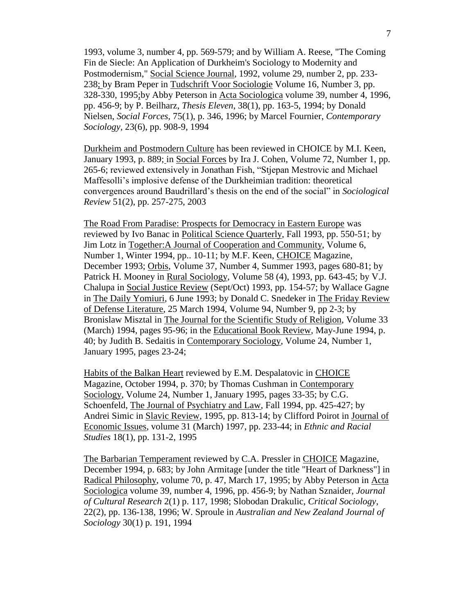1993, volume 3, number 4, pp. 569-579; and by William A. Reese, "The Coming Fin de Siecle: An Application of Durkheim's Sociology to Modernity and Postmodernism," Social Science Journal, 1992, volume 29, number 2, pp. 233- 238; by Bram Peper in Tudschrift Voor Sociologie Volume 16, Number 3, pp. 328-330, 1995;by Abby Peterson in Acta Sociologica volume 39, number 4, 1996, pp. 456-9; by P. Beilharz, *Thesis Eleven*, 38(1), pp. 163-5, 1994; by Donald Nielsen, *Social Forces,* 75(1), p. 346, 1996; by Marcel Fournier, *Contemporary Sociology,* 23(6), pp. 908-9, 1994

Durkheim and Postmodern Culture has been reviewed in CHOICE by M.I. Keen, January 1993, p. 889; in Social Forces by Ira J. Cohen, Volume 72, Number 1, pp. 265-6; reviewed extensively in Jonathan Fish, "Stjepan Mestrovic and Michael Maffesolli's implosive defense of the Durkheimian tradition: theoretical convergences around Baudrillard's thesis on the end of the social" in *Sociological Review* 51(2), pp. 257-275, 2003

The Road From Paradise: Prospects for Democracy in Eastern Europe was reviewed by Ivo Banac in Political Science Quarterly, Fall 1993, pp. 550-51; by Jim Lotz in Together:A Journal of Cooperation and Community, Volume 6, Number 1, Winter 1994, pp.. 10-11; by M.F. Keen, CHOICE Magazine, December 1993; Orbis, Volume 37, Number 4, Summer 1993, pages 680-81; by Patrick H. Mooney in Rural Sociology, Volume 58 (4), 1993, pp. 643-45; by V.J. Chalupa in Social Justice Review (Sept/Oct) 1993, pp. 154-57; by Wallace Gagne in The Daily Yomiuri, 6 June 1993; by Donald C. Snedeker in The Friday Review of Defense Literature, 25 March 1994, Volume 94, Number 9, pp 2-3; by Bronislaw Misztal in The Journal for the Scientific Study of Religion, Volume 33 (March) 1994, pages 95-96; in the Educational Book Review, May-June 1994, p. 40; by Judith B. Sedaitis in Contemporary Sociology, Volume 24, Number 1, January 1995, pages 23-24;

Habits of the Balkan Heart reviewed by E.M. Despalatovic in CHOICE Magazine, October 1994, p. 370; by Thomas Cushman in Contemporary Sociology, Volume 24, Number 1, January 1995, pages 33-35; by C.G. Schoenfeld, The Journal of Psychiatry and Law, Fall 1994, pp. 425-427; by Andrei Simic in Slavic Review, 1995, pp. 813-14; by Clifford Poirot in Journal of Economic Issues, volume 31 (March) 1997, pp. 233-44; in *Ethnic and Racial Studies* 18(1), pp. 131-2, 1995

The Barbarian Temperament reviewed by C.A. Pressler in CHOICE Magazine, December 1994, p. 683; by John Armitage [under the title "Heart of Darkness"] in Radical Philosophy, volume 70, p. 47, March 17, 1995; by Abby Peterson in Acta Sociologica volume 39, number 4, 1996, pp. 456-9; by Nathan Sznaider, *Journal of Cultural Research* 2(1) p. 117, 1998; Slobodan Drakulic, *Critical Sociology*, 22(2), pp. 136-138, 1996; W. Sproule in *Australian and New Zealand Journal of Sociology* 30(1) p. 191, 1994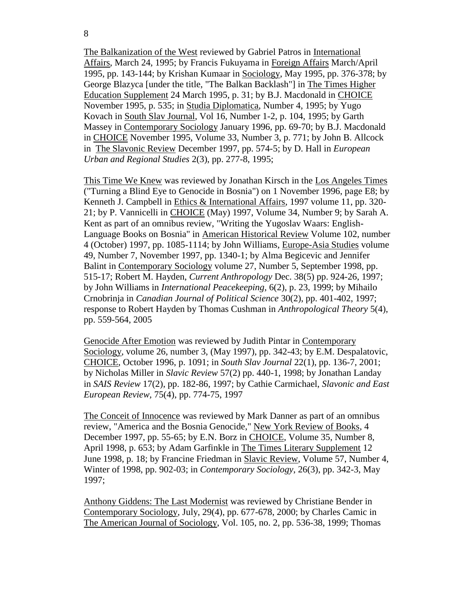The Balkanization of the West reviewed by Gabriel Patros in International Affairs, March 24, 1995; by Francis Fukuyama in Foreign Affairs March/April 1995, pp. 143-144; by Krishan Kumaar in Sociology, May 1995, pp. 376-378; by George Blazyca [under the title, "The Balkan Backlash"] in The Times Higher Education Supplement 24 March 1995, p. 31; by B.J. Macdonald in CHOICE November 1995, p. 535; in Studia Diplomatica, Number 4, 1995; by Yugo Kovach in South Slav Journal, Vol 16, Number 1-2, p. 104, 1995; by Garth Massey in Contemporary Sociology January 1996, pp. 69-70; by B.J. Macdonald in CHOICE November 1995, Volume 33, Number 3, p. 771; by John B. Allcock in The Slavonic Review December 1997, pp. 574-5; by D. Hall in *European Urban and Regional Studies* 2(3), pp. 277-8, 1995;

This Time We Knew was reviewed by Jonathan Kirsch in the Los Angeles Times ("Turning a Blind Eye to Genocide in Bosnia") on 1 November 1996, page E8; by Kenneth J. Campbell in Ethics & International Affairs, 1997 volume 11, pp. 320- 21; by P. Vannicelli in CHOICE (May) 1997, Volume 34, Number 9; by Sarah A. Kent as part of an omnibus review, "Writing the Yugoslav Waars: English-Language Books on Bosnia" in American Historical Review Volume 102, number 4 (October) 1997, pp. 1085-1114; by John Williams, Europe-Asia Studies volume 49, Number 7, November 1997, pp. 1340-1; by Alma Begicevic and Jennifer Balint in Contemporary Sociology volume 27, Number 5, September 1998, pp. 515-17; Robert M. Hayden, *Current Anthropology* Dec. 38(5) pp. 924-26, 1997; by John Williams in *International Peacekeeping*, 6(2), p. 23, 1999; by Mihailo Crnobrinja in *Canadian Journal of Political Science* 30(2), pp. 401-402, 1997; response to Robert Hayden by Thomas Cushman in *Anthropological Theory* 5(4), pp. 559-564, 2005

Genocide After Emotion was reviewed by Judith Pintar in Contemporary Sociology, volume 26, number 3, (May 1997), pp. 342-43; by E.M. Despalatovic, CHOICE, October 1996, p. 1091; in *South Slav Journal* 22(1), pp. 136-7, 2001; by Nicholas Miller in *Slavic Review* 57(2) pp. 440-1, 1998; by Jonathan Landay in *SAIS Review* 17(2), pp. 182-86, 1997; by Cathie Carmichael, *Slavonic and East European Review,* 75(4), pp. 774-75, 1997

The Conceit of Innocence was reviewed by Mark Danner as part of an omnibus review, "America and the Bosnia Genocide," New York Review of Books, 4 December 1997, pp. 55-65; by E.N. Borz in CHOICE, Volume 35, Number 8, April 1998, p. 653; by Adam Garfinkle in The Times Literary Supplement 12 June 1998, p. 18; by Francine Friedman in Slavic Review, Volume 57, Number 4, Winter of 1998, pp. 902-03; in *Contemporary Sociology*, 26(3), pp. 342-3, May 1997;

Anthony Giddens: The Last Modernist was reviewed by Christiane Bender in Contemporary Sociology, July, 29(4), pp. 677-678, 2000; by Charles Camic in The American Journal of Sociology, Vol. 105, no. 2, pp. 536-38, 1999; Thomas

8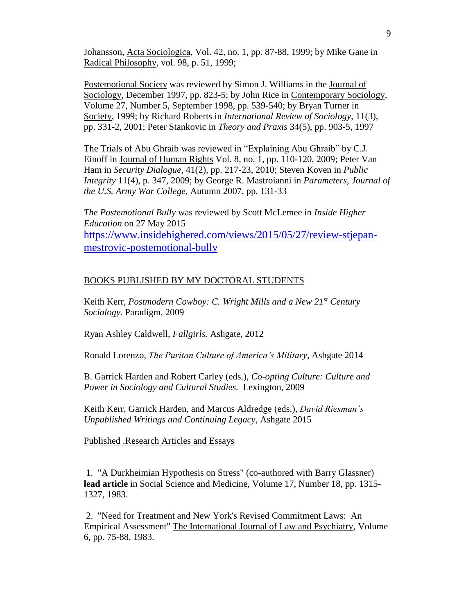Johansson, Acta Sociologica, Vol. 42, no. 1, pp. 87-88, 1999; by Mike Gane in Radical Philosophy, vol. 98, p. 51, 1999;

Postemotional Society was reviewed by Simon J. Williams in the Journal of Sociology, December 1997, pp. 823-5; by John Rice in Contemporary Sociology, Volume 27, Number 5, September 1998, pp. 539-540; by Bryan Turner in Society, 1999; by Richard Roberts in *International Review of Sociology,* 11(3), pp. 331-2, 2001; Peter Stankovic in *Theory and Praxis* 34(5), pp. 903-5, 1997

The Trials of Abu Ghraib was reviewed in "Explaining Abu Ghraib" by C.J. Einoff in Journal of Human Rights Vol. 8, no. 1, pp. 110-120, 2009; Peter Van Ham in *Security Dialogue,* 41(2), pp. 217-23, 2010; Steven Koven in *Public Integrity* 11(4), p. 347, 2009; by George R. Mastroianni in *Parameters, Journal of the U.S. Army War College,* Autumn 2007, pp. 131-33

*The Postemotional Bully* was reviewed by Scott McLemee in *Inside Higher Education* on 27 May 2015 [https://www.insidehighered.com/views/2015/05/27/review-stjepan](https://www.insidehighered.com/views/2015/05/27/review-stjepan-mestrovic-postemotional-bully)[mestrovic-postemotional-bully](https://www.insidehighered.com/views/2015/05/27/review-stjepan-mestrovic-postemotional-bully)

### BOOKS PUBLISHED BY MY DOCTORAL STUDENTS

Keith Kerr, *Postmodern Cowboy: C. Wright Mills and a New 21st Century Sociology.* Paradigm, 2009

Ryan Ashley Caldwell, *Fallgirls.* Ashgate, 2012

Ronald Lorenzo, *The Puritan Culture of America's Military*, Ashgate 2014

B. Garrick Harden and Robert Carley (eds.), *Co-opting Culture: Culture and Power in Sociology and Cultural Studies.* Lexington, 2009

Keith Kerr, Garrick Harden, and Marcus Aldredge (eds.), *David Riesman's Unpublished Writings and Continuing Legacy*, Ashgate 2015

Published .Research Articles and Essays

1. "A Durkheimian Hypothesis on Stress" (co-authored with Barry Glassner) **lead article** in Social Science and Medicine, Volume 17, Number 18, pp. 1315- 1327, 1983.

2. "Need for Treatment and New York's Revised Commitment Laws: An Empirical Assessment" The International Journal of Law and Psychiatry, Volume 6, pp. 75-88, 1983.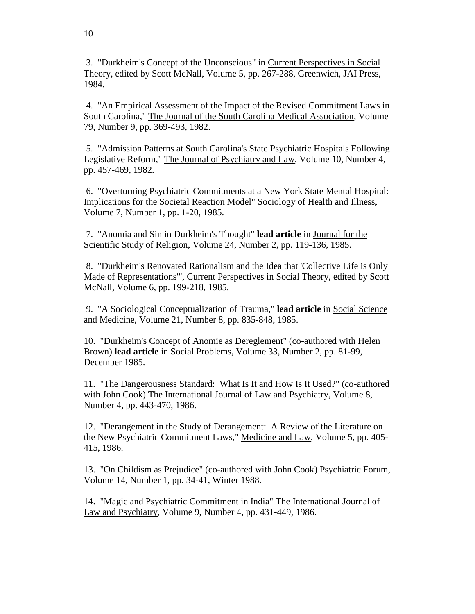3. "Durkheim's Concept of the Unconscious" in Current Perspectives in Social Theory, edited by Scott McNall, Volume 5, pp. 267-288, Greenwich, JAI Press, 1984.

4. "An Empirical Assessment of the Impact of the Revised Commitment Laws in South Carolina," The Journal of the South Carolina Medical Association, Volume 79, Number 9, pp. 369-493, 1982.

5. "Admission Patterns at South Carolina's State Psychiatric Hospitals Following Legislative Reform," The Journal of Psychiatry and Law, Volume 10, Number 4, pp. 457-469, 1982.

6. "Overturning Psychiatric Commitments at a New York State Mental Hospital: Implications for the Societal Reaction Model" Sociology of Health and Illness, Volume 7, Number 1, pp. 1-20, 1985.

7. "Anomia and Sin in Durkheim's Thought" **lead article** in Journal for the Scientific Study of Religion, Volume 24, Number 2, pp. 119-136, 1985.

8. "Durkheim's Renovated Rationalism and the Idea that 'Collective Life is Only Made of Representations'", Current Perspectives in Social Theory, edited by Scott McNall, Volume 6, pp. 199-218, 1985.

9. "A Sociological Conceptualization of Trauma," **lead article** in Social Science and Medicine, Volume 21, Number 8, pp. 835-848, 1985.

10. "Durkheim's Concept of Anomie as Dereglement" (co-authored with Helen Brown) **lead article** in Social Problems, Volume 33, Number 2, pp. 81-99, December 1985.

11. "The Dangerousness Standard: What Is It and How Is It Used?" (co-authored with John Cook) The International Journal of Law and Psychiatry, Volume 8, Number 4, pp. 443-470, 1986.

12. "Derangement in the Study of Derangement: A Review of the Literature on the New Psychiatric Commitment Laws," Medicine and Law, Volume 5, pp. 405- 415, 1986.

13. "On Childism as Prejudice" (co-authored with John Cook) Psychiatric Forum, Volume 14, Number 1, pp. 34-41, Winter 1988.

14. "Magic and Psychiatric Commitment in India" The International Journal of Law and Psychiatry, Volume 9, Number 4, pp. 431-449, 1986.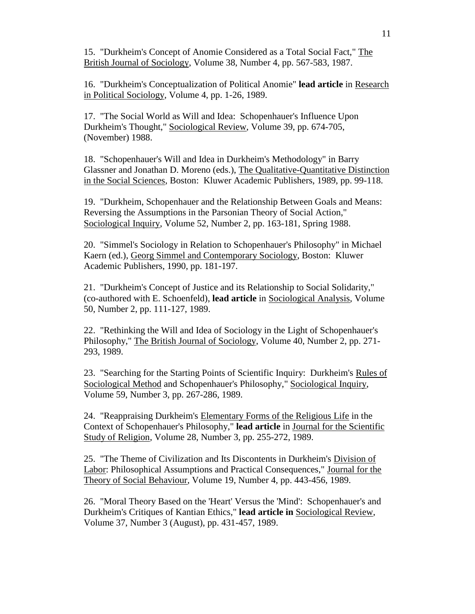15. "Durkheim's Concept of Anomie Considered as a Total Social Fact," The British Journal of Sociology, Volume 38, Number 4, pp. 567-583, 1987.

16. "Durkheim's Conceptualization of Political Anomie" **lead article** in Research in Political Sociology, Volume 4, pp. 1-26, 1989.

17. "The Social World as Will and Idea: Schopenhauer's Influence Upon Durkheim's Thought," Sociological Review, Volume 39, pp. 674-705, (November) 1988.

18. "Schopenhauer's Will and Idea in Durkheim's Methodology" in Barry Glassner and Jonathan D. Moreno (eds.), The Qualitative-Quantitative Distinction in the Social Sciences, Boston: Kluwer Academic Publishers, 1989, pp. 99-118.

19. "Durkheim, Schopenhauer and the Relationship Between Goals and Means: Reversing the Assumptions in the Parsonian Theory of Social Action," Sociological Inquiry, Volume 52, Number 2, pp. 163-181, Spring 1988.

20. "Simmel's Sociology in Relation to Schopenhauer's Philosophy" in Michael Kaern (ed.), Georg Simmel and Contemporary Sociology, Boston: Kluwer Academic Publishers, 1990, pp. 181-197.

21. "Durkheim's Concept of Justice and its Relationship to Social Solidarity," (co-authored with E. Schoenfeld), **lead article** in Sociological Analysis, Volume 50, Number 2, pp. 111-127, 1989.

22. "Rethinking the Will and Idea of Sociology in the Light of Schopenhauer's Philosophy," The British Journal of Sociology, Volume 40, Number 2, pp. 271- 293, 1989.

23. "Searching for the Starting Points of Scientific Inquiry: Durkheim's Rules of Sociological Method and Schopenhauer's Philosophy," Sociological Inquiry, Volume 59, Number 3, pp. 267-286, 1989.

24. "Reappraising Durkheim's Elementary Forms of the Religious Life in the Context of Schopenhauer's Philosophy," **lead article** in Journal for the Scientific Study of Religion, Volume 28, Number 3, pp. 255-272, 1989.

25. "The Theme of Civilization and Its Discontents in Durkheim's Division of Labor: Philosophical Assumptions and Practical Consequences," Journal for the Theory of Social Behaviour, Volume 19, Number 4, pp. 443-456, 1989.

26. "Moral Theory Based on the 'Heart' Versus the 'Mind': Schopenhauer's and Durkheim's Critiques of Kantian Ethics," **lead article in** Sociological Review, Volume 37, Number 3 (August), pp. 431-457, 1989.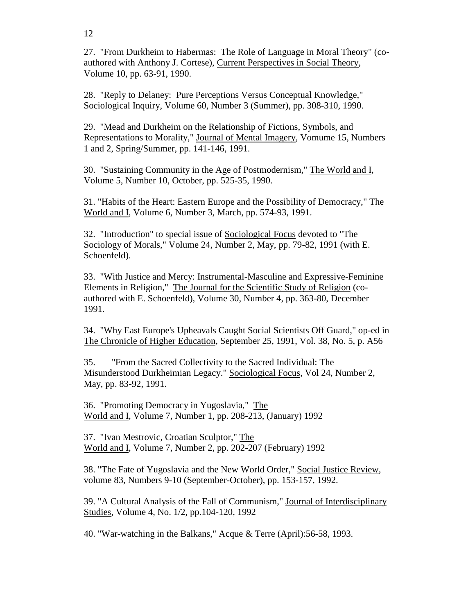27. "From Durkheim to Habermas: The Role of Language in Moral Theory" (coauthored with Anthony J. Cortese), Current Perspectives in Social Theory, Volume 10, pp. 63-91, 1990.

28. "Reply to Delaney: Pure Perceptions Versus Conceptual Knowledge," Sociological Inquiry, Volume 60, Number 3 (Summer), pp. 308-310, 1990.

29. "Mead and Durkheim on the Relationship of Fictions, Symbols, and Representations to Morality," Journal of Mental Imagery, Vomume 15, Numbers 1 and 2, Spring/Summer, pp. 141-146, 1991.

30. "Sustaining Community in the Age of Postmodernism," The World and I, Volume 5, Number 10, October, pp. 525-35, 1990.

31. "Habits of the Heart: Eastern Europe and the Possibility of Democracy," The World and I, Volume 6, Number 3, March, pp. 574-93, 1991.

32. "Introduction" to special issue of Sociological Focus devoted to "The Sociology of Morals," Volume 24, Number 2, May, pp. 79-82, 1991 (with E. Schoenfeld).

33. "With Justice and Mercy: Instrumental-Masculine and Expressive-Feminine Elements in Religion," The Journal for the Scientific Study of Religion (coauthored with E. Schoenfeld), Volume 30, Number 4, pp. 363-80, December 1991.

34. "Why East Europe's Upheavals Caught Social Scientists Off Guard," op-ed in The Chronicle of Higher Education, September 25, 1991, Vol. 38, No. 5, p. A56

35. "From the Sacred Collectivity to the Sacred Individual: The Misunderstood Durkheimian Legacy." Sociological Focus, Vol 24, Number 2, May, pp. 83-92, 1991.

36. "Promoting Democracy in Yugoslavia," The World and I, Volume 7, Number 1, pp. 208-213, (January) 1992

37. "Ivan Mestrovic, Croatian Sculptor," The World and I, Volume 7, Number 2, pp. 202-207 (February) 1992

38. "The Fate of Yugoslavia and the New World Order," Social Justice Review, volume 83, Numbers 9-10 (September-October), pp. 153-157, 1992.

39. "A Cultural Analysis of the Fall of Communism," Journal of Interdisciplinary Studies, Volume 4, No. 1/2, pp.104-120, 1992

40. "War-watching in the Balkans," Acque & Terre (April):56-58, 1993.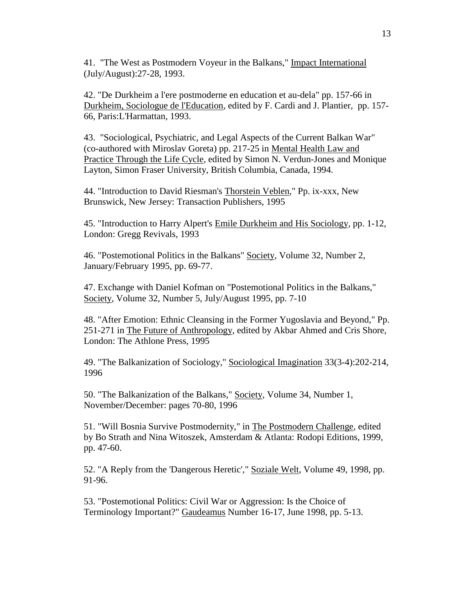41. "The West as Postmodern Voyeur in the Balkans," Impact International (July/August):27-28, 1993.

42. "De Durkheim a l'ere postmoderne en education et au-dela" pp. 157-66 in Durkheim, Sociologue de l'Education, edited by F. Cardi and J. Plantier, pp. 157- 66, Paris:L'Harmattan, 1993.

43. "Sociological, Psychiatric, and Legal Aspects of the Current Balkan War" (co-authored with Miroslav Goreta) pp. 217-25 in Mental Health Law and Practice Through the Life Cycle, edited by Simon N. Verdun-Jones and Monique Layton, Simon Fraser University, British Columbia, Canada, 1994.

44. "Introduction to David Riesman's Thorstein Veblen," Pp. ix-xxx, New Brunswick, New Jersey: Transaction Publishers, 1995

45. "Introduction to Harry Alpert's Emile Durkheim and His Sociology, pp. 1-12, London: Gregg Revivals, 1993

46. "Postemotional Politics in the Balkans" Society, Volume 32, Number 2, January/February 1995, pp. 69-77.

47. Exchange with Daniel Kofman on "Postemotional Politics in the Balkans," Society, Volume 32, Number 5, July/August 1995, pp. 7-10

48. "After Emotion: Ethnic Cleansing in the Former Yugoslavia and Beyond," Pp. 251-271 in The Future of Anthropology, edited by Akbar Ahmed and Cris Shore, London: The Athlone Press, 1995

49. "The Balkanization of Sociology," Sociological Imagination 33(3-4):202-214, 1996

50. "The Balkanization of the Balkans," Society, Volume 34, Number 1, November/December: pages 70-80, 1996

51. "Will Bosnia Survive Postmodernity," in The Postmodern Challenge, edited by Bo Strath and Nina Witoszek, Amsterdam & Atlanta: Rodopi Editions, 1999, pp. 47-60.

52. "A Reply from the 'Dangerous Heretic'," Soziale Welt, Volume 49, 1998, pp. 91-96.

53. "Postemotional Politics: Civil War or Aggression: Is the Choice of Terminology Important?" Gaudeamus Number 16-17, June 1998, pp. 5-13.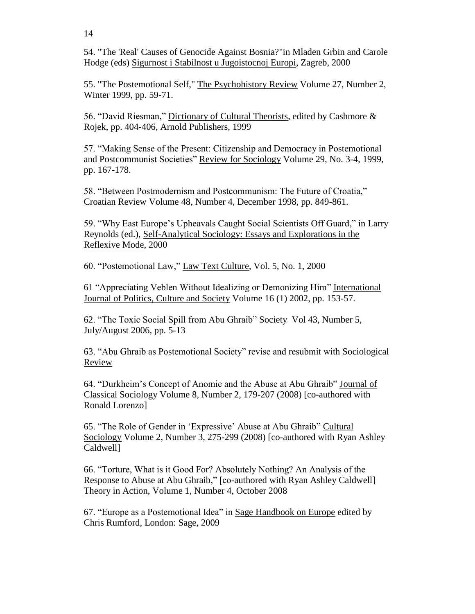14

54. "The 'Real' Causes of Genocide Against Bosnia?"in Mladen Grbin and Carole Hodge (eds) Sigurnost i Stabilnost u Jugoistocnoj Europi, Zagreb, 2000

55. "The Postemotional Self," The Psychohistory Review Volume 27, Number 2, Winter 1999, pp. 59-71.

56. "David Riesman," Dictionary of Cultural Theorists, edited by Cashmore & Rojek, pp. 404-406, Arnold Publishers, 1999

57. "Making Sense of the Present: Citizenship and Democracy in Postemotional and Postcommunist Societies" Review for Sociology Volume 29, No. 3-4, 1999, pp. 167-178.

58. "Between Postmodernism and Postcommunism: The Future of Croatia," Croatian Review Volume 48, Number 4, December 1998, pp. 849-861.

59. "Why East Europe's Upheavals Caught Social Scientists Off Guard," in Larry Reynolds (ed.), Self-Analytical Sociology: Essays and Explorations in the Reflexive Mode, 2000

60. "Postemotional Law," Law Text Culture, Vol. 5, No. 1, 2000

61 "Appreciating Veblen Without Idealizing or Demonizing Him" International Journal of Politics, Culture and Society Volume 16 (1) 2002, pp. 153-57.

62. "The Toxic Social Spill from Abu Ghraib" Society Vol 43, Number 5, July/August 2006, pp. 5-13

63. "Abu Ghraib as Postemotional Society" revise and resubmit with Sociological Review

64. "Durkheim's Concept of Anomie and the Abuse at Abu Ghraib" Journal of Classical Sociology Volume 8, Number 2, 179-207 (2008) [co-authored with Ronald Lorenzo]

65. "The Role of Gender in 'Expressive' Abuse at Abu Ghraib" Cultural Sociology Volume 2, Number 3, 275-299 (2008) [co-authored with Ryan Ashley Caldwell]

66. "Torture, What is it Good For? Absolutely Nothing? An Analysis of the Response to Abuse at Abu Ghraib," [co-authored with Ryan Ashley Caldwell] Theory in Action, Volume 1, Number 4, October 2008

67. "Europe as a Postemotional Idea" in Sage Handbook on Europe edited by Chris Rumford, London: Sage, 2009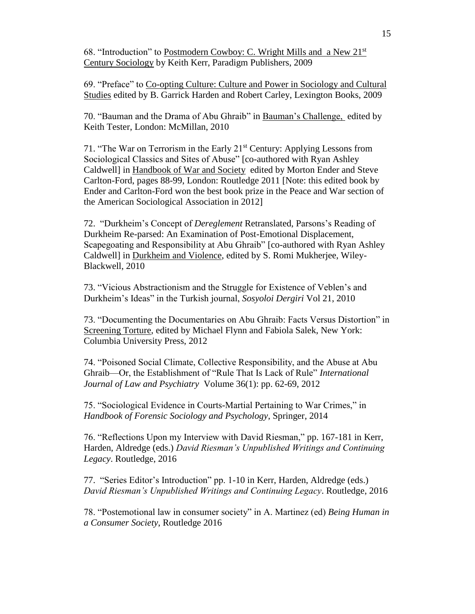68. "Introduction" to Postmodern Cowboy: C. Wright Mills and a New 21st Century Sociology by Keith Kerr, Paradigm Publishers, 2009

69. "Preface" to Co-opting Culture: Culture and Power in Sociology and Cultural Studies edited by B. Garrick Harden and Robert Carley, Lexington Books, 2009

70. "Bauman and the Drama of Abu Ghraib" in Bauman's Challenge, edited by Keith Tester, London: McMillan, 2010

71. "The War on Terrorism in the Early 21<sup>st</sup> Century: Applying Lessons from Sociological Classics and Sites of Abuse" [co-authored with Ryan Ashley Caldwell] in Handbook of War and Society edited by Morton Ender and Steve Carlton-Ford, pages 88-99, London: Routledge 2011 [Note: this edited book by Ender and Carlton-Ford won the best book prize in the Peace and War section of the American Sociological Association in 2012]

72. "Durkheim's Concept of *Dereglement* Retranslated, Parsons's Reading of Durkheim Re-parsed: An Examination of Post-Emotional Displacement, Scapegoating and Responsibility at Abu Ghraib" [co-authored with Ryan Ashley Caldwell] in Durkheim and Violence, edited by S. Romi Mukherjee, Wiley-Blackwell, 2010

73. "Vicious Abstractionism and the Struggle for Existence of Veblen's and Durkheim's Ideas" in the Turkish journal, *Sosyoloi Dergiri* Vol 21, 2010

73. "Documenting the Documentaries on Abu Ghraib: Facts Versus Distortion" in Screening Torture, edited by Michael Flynn and Fabiola Salek, New York: Columbia University Press, 2012

74. "Poisoned Social Climate, Collective Responsibility, and the Abuse at Abu Ghraib—Or, the Establishment of "Rule That Is Lack of Rule" *International Journal of Law and Psychiatry* Volume 36(1): pp. 62-69, 2012

75. "Sociological Evidence in Courts-Martial Pertaining to War Crimes," in *Handbook of Forensic Sociology and Psychology*, Springer, 2014

76. "Reflections Upon my Interview with David Riesman," pp. 167-181 in Kerr, Harden, Aldredge (eds.) *David Riesman's Unpublished Writings and Continuing Legacy*. Routledge, 2016

77. "Series Editor's Introduction" pp. 1-10 in Kerr, Harden, Aldredge (eds.) *David Riesman's Unpublished Writings and Continuing Legacy*. Routledge, 2016

78. "Postemotional law in consumer society" in A. Martinez (ed) *Being Human in a Consumer Society*, Routledge 2016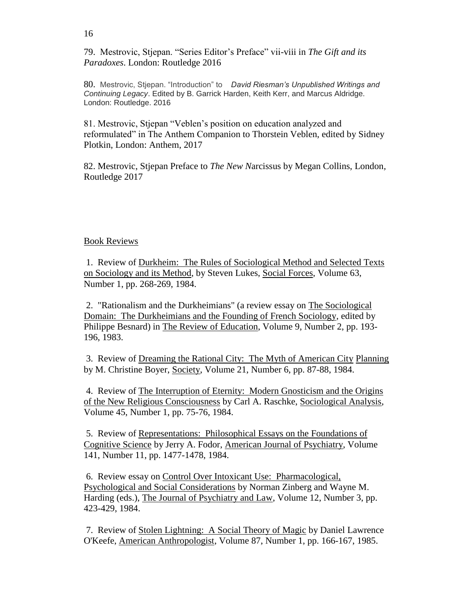79. Mestrovic, Stjepan. "Series Editor's Preface" vii-viii in *The Gift and its Paradoxes*. London: Routledge 2016

80. Mestrovic, Stjepan. "Introduction" to *David Riesman's Unpublished Writings and Continuing Legacy*. Edited by B. Garrick Harden, Keith Kerr, and Marcus Aldridge. London: Routledge. 2016

81. Mestrovic, Stjepan "Veblen's position on education analyzed and reformulated" in The Anthem Companion to Thorstein Veblen, edited by Sidney Plotkin, London: Anthem, 2017

82. Mestrovic, Stjepan Preface to *The New N*arcissus by Megan Collins, London*,*  Routledge 2017

### Book Reviews

1. Review of Durkheim: The Rules of Sociological Method and Selected Texts on Sociology and its Method, by Steven Lukes, Social Forces, Volume 63, Number 1, pp. 268-269, 1984.

2. "Rationalism and the Durkheimians" (a review essay on The Sociological Domain: The Durkheimians and the Founding of French Sociology, edited by Philippe Besnard) in The Review of Education, Volume 9, Number 2, pp. 193- 196, 1983.

3. Review of Dreaming the Rational City: The Myth of American City Planning by M. Christine Boyer, Society, Volume 21, Number 6, pp. 87-88, 1984.

4. Review of The Interruption of Eternity: Modern Gnosticism and the Origins of the New Religious Consciousness by Carl A. Raschke, Sociological Analysis, Volume 45, Number 1, pp. 75-76, 1984.

5. Review of Representations: Philosophical Essays on the Foundations of Cognitive Science by Jerry A. Fodor, American Journal of Psychiatry, Volume 141, Number 11, pp. 1477-1478, 1984.

6. Review essay on Control Over Intoxicant Use: Pharmacological, Psychological and Social Considerations by Norman Zinberg and Wayne M. Harding (eds.), The Journal of Psychiatry and Law, Volume 12, Number 3, pp. 423-429, 1984.

7. Review of Stolen Lightning: A Social Theory of Magic by Daniel Lawrence O'Keefe, American Anthropologist, Volume 87, Number 1, pp. 166-167, 1985.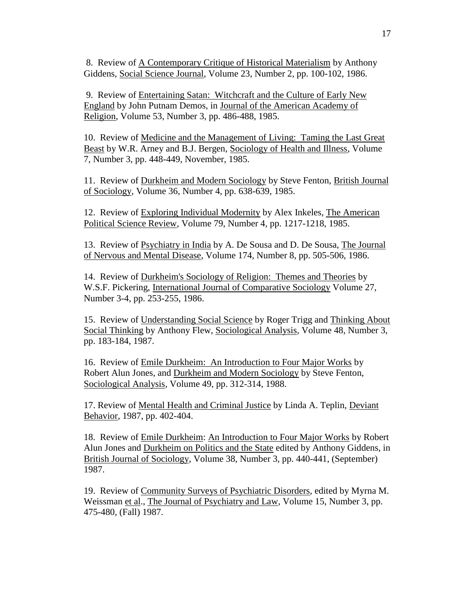8. Review of A Contemporary Critique of Historical Materialism by Anthony Giddens, Social Science Journal, Volume 23, Number 2, pp. 100-102, 1986.

9. Review of Entertaining Satan: Witchcraft and the Culture of Early New England by John Putnam Demos, in Journal of the American Academy of Religion, Volume 53, Number 3, pp. 486-488, 1985.

10. Review of Medicine and the Management of Living: Taming the Last Great Beast by W.R. Arney and B.J. Bergen, Sociology of Health and Illness, Volume 7, Number 3, pp. 448-449, November, 1985.

11. Review of Durkheim and Modern Sociology by Steve Fenton, British Journal of Sociology, Volume 36, Number 4, pp. 638-639, 1985.

12. Review of Exploring Individual Modernity by Alex Inkeles, The American Political Science Review, Volume 79, Number 4, pp. 1217-1218, 1985.

13. Review of Psychiatry in India by A. De Sousa and D. De Sousa, The Journal of Nervous and Mental Disease, Volume 174, Number 8, pp. 505-506, 1986.

14. Review of Durkheim's Sociology of Religion: Themes and Theories by W.S.F. Pickering, International Journal of Comparative Sociology Volume 27, Number 3-4, pp. 253-255, 1986.

15. Review of Understanding Social Science by Roger Trigg and Thinking About Social Thinking by Anthony Flew, Sociological Analysis, Volume 48, Number 3, pp. 183-184, 1987.

16. Review of Emile Durkheim: An Introduction to Four Major Works by Robert Alun Jones, and Durkheim and Modern Sociology by Steve Fenton, Sociological Analysis, Volume 49, pp. 312-314, 1988.

17. Review of Mental Health and Criminal Justice by Linda A. Teplin, Deviant Behavior, 1987, pp. 402-404.

18. Review of Emile Durkheim: An Introduction to Four Major Works by Robert Alun Jones and Durkheim on Politics and the State edited by Anthony Giddens, in British Journal of Sociology, Volume 38, Number 3, pp. 440-441, (September) 1987.

19. Review of Community Surveys of Psychiatric Disorders, edited by Myrna M. Weissman et al., The Journal of Psychiatry and Law, Volume 15, Number 3, pp. 475-480, (Fall) 1987.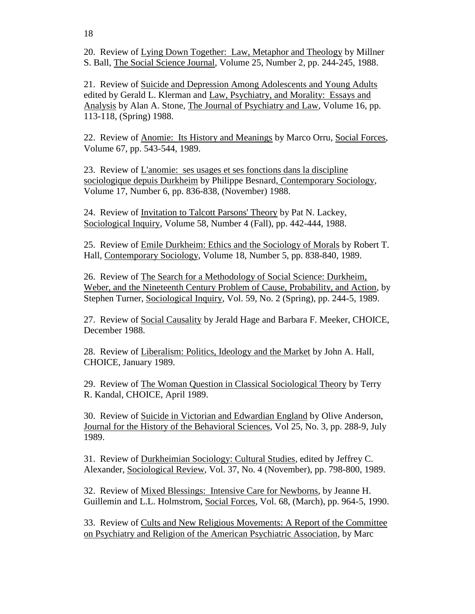18

20. Review of Lying Down Together: Law, Metaphor and Theology by Millner S. Ball, The Social Science Journal, Volume 25, Number 2, pp. 244-245, 1988.

21. Review of Suicide and Depression Among Adolescents and Young Adults edited by Gerald L. Klerman and Law, Psychiatry, and Morality: Essays and Analysis by Alan A. Stone, The Journal of Psychiatry and Law, Volume 16, pp. 113-118, (Spring) 1988.

22. Review of Anomie: Its History and Meanings by Marco Orru, Social Forces, Volume 67, pp. 543-544, 1989.

23. Review of L'anomie: ses usages et ses fonctions dans la discipline sociologique depuis Durkheim by Philippe Besnard, Contemporary Sociology, Volume 17, Number 6, pp. 836-838, (November) 1988.

24. Review of Invitation to Talcott Parsons' Theory by Pat N. Lackey, Sociological Inquiry, Volume 58, Number 4 (Fall), pp. 442-444, 1988.

25. Review of Emile Durkheim: Ethics and the Sociology of Morals by Robert T. Hall, Contemporary Sociology, Volume 18, Number 5, pp. 838-840, 1989.

26. Review of The Search for a Methodology of Social Science: Durkheim, Weber, and the Nineteenth Century Problem of Cause, Probability, and Action, by Stephen Turner, Sociological Inquiry, Vol. 59, No. 2 (Spring), pp. 244-5, 1989.

27. Review of Social Causality by Jerald Hage and Barbara F. Meeker, CHOICE, December 1988.

28. Review of Liberalism: Politics, Ideology and the Market by John A. Hall, CHOICE, January 1989.

29. Review of The Woman Question in Classical Sociological Theory by Terry R. Kandal, CHOICE, April 1989.

30. Review of Suicide in Victorian and Edwardian England by Olive Anderson, Journal for the History of the Behavioral Sciences, Vol 25, No. 3, pp. 288-9, July 1989.

31. Review of Durkheimian Sociology: Cultural Studies, edited by Jeffrey C. Alexander, Sociological Review, Vol. 37, No. 4 (November), pp. 798-800, 1989.

32. Review of Mixed Blessings: Intensive Care for Newborns, by Jeanne H. Guillemin and L.L. Holmstrom, Social Forces, Vol. 68, (March), pp. 964-5, 1990.

33. Review of Cults and New Religious Movements: A Report of the Committee on Psychiatry and Religion of the American Psychiatric Association, by Marc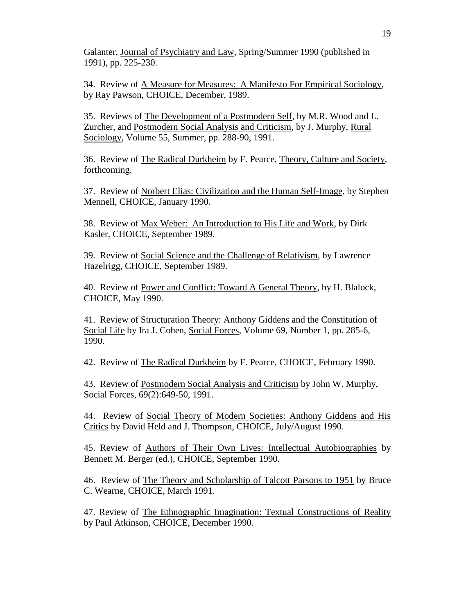Galanter, Journal of Psychiatry and Law, Spring/Summer 1990 (published in 1991), pp. 225-230.

34. Review of A Measure for Measures: A Manifesto For Empirical Sociology, by Ray Pawson, CHOICE, December, 1989.

35. Reviews of The Development of a Postmodern Self, by M.R. Wood and L. Zurcher, and Postmodern Social Analysis and Criticism, by J. Murphy, Rural Sociology, Volume 55, Summer, pp. 288-90, 1991.

36. Review of The Radical Durkheim by F. Pearce, Theory, Culture and Society, forthcoming.

37. Review of Norbert Elias: Civilization and the Human Self-Image, by Stephen Mennell, CHOICE, January 1990.

38. Review of Max Weber: An Introduction to His Life and Work, by Dirk Kasler, CHOICE, September 1989.

39. Review of Social Science and the Challenge of Relativism, by Lawrence Hazelrigg, CHOICE, September 1989.

40. Review of Power and Conflict: Toward A General Theory, by H. Blalock, CHOICE, May 1990.

41. Review of Structuration Theory: Anthony Giddens and the Constitution of Social Life by Ira J. Cohen, Social Forces, Volume 69, Number 1, pp. 285-6, 1990.

42. Review of The Radical Durkheim by F. Pearce, CHOICE, February 1990.

43. Review of Postmodern Social Analysis and Criticism by John W. Murphy, Social Forces, 69(2):649-50, 1991.

44. Review of Social Theory of Modern Societies: Anthony Giddens and His Critics by David Held and J. Thompson, CHOICE, July/August 1990.

45. Review of Authors of Their Own Lives: Intellectual Autobiographies by Bennett M. Berger (ed.), CHOICE, September 1990.

46. Review of The Theory and Scholarship of Talcott Parsons to 1951 by Bruce C. Wearne, CHOICE, March 1991.

47. Review of The Ethnographic Imagination: Textual Constructions of Reality by Paul Atkinson, CHOICE, December 1990.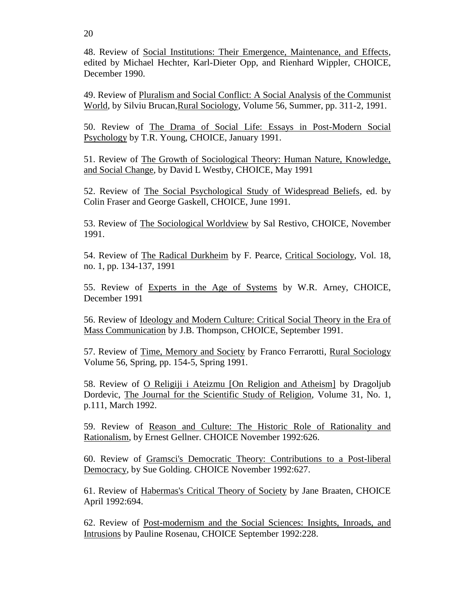48. Review of Social Institutions: Their Emergence, Maintenance, and Effects, edited by Michael Hechter, Karl-Dieter Opp, and Rienhard Wippler, CHOICE, December 1990.

49. Review of Pluralism and Social Conflict: A Social Analysis of the Communist World, by Silviu Brucan, Rural Sociology, Volume 56, Summer, pp. 311-2, 1991.

50. Review of The Drama of Social Life: Essays in Post-Modern Social Psychology by T.R. Young, CHOICE, January 1991.

51. Review of The Growth of Sociological Theory: Human Nature, Knowledge, and Social Change, by David L Westby, CHOICE, May 1991

52. Review of The Social Psychological Study of Widespread Beliefs, ed. by Colin Fraser and George Gaskell, CHOICE, June 1991.

53. Review of The Sociological Worldview by Sal Restivo, CHOICE, November 1991.

54. Review of The Radical Durkheim by F. Pearce, Critical Sociology, Vol. 18, no. 1, pp. 134-137, 1991

55. Review of Experts in the Age of Systems by W.R. Arney, CHOICE, December 1991

56. Review of Ideology and Modern Culture: Critical Social Theory in the Era of Mass Communication by J.B. Thompson, CHOICE, September 1991.

57. Review of Time, Memory and Society by Franco Ferrarotti, Rural Sociology Volume 56, Spring, pp. 154-5, Spring 1991.

58. Review of O Religiji i Ateizmu [On Religion and Atheism] by Dragoljub Dordevic, The Journal for the Scientific Study of Religion, Volume 31, No. 1, p.111, March 1992.

59. Review of Reason and Culture: The Historic Role of Rationality and Rationalism, by Ernest Gellner. CHOICE November 1992:626.

60. Review of Gramsci's Democratic Theory: Contributions to a Post-liberal Democracy, by Sue Golding. CHOICE November 1992:627.

61. Review of Habermas's Critical Theory of Society by Jane Braaten, CHOICE April 1992:694.

62. Review of Post-modernism and the Social Sciences: Insights, Inroads, and Intrusions by Pauline Rosenau, CHOICE September 1992:228.

20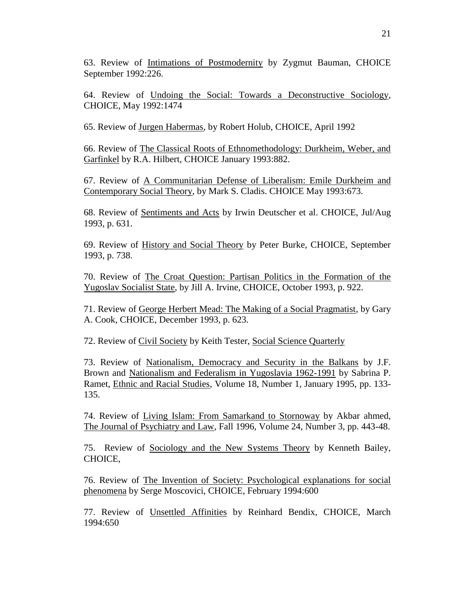63. Review of Intimations of Postmodernity by Zygmut Bauman, CHOICE September 1992:226.

64. Review of Undoing the Social: Towards a Deconstructive Sociology, CHOICE, May 1992:1474

65. Review of Jurgen Habermas, by Robert Holub, CHOICE, April 1992

66. Review of The Classical Roots of Ethnomethodology: Durkheim, Weber, and Garfinkel by R.A. Hilbert, CHOICE January 1993:882.

67. Review of A Communitarian Defense of Liberalism: Emile Durkheim and Contemporary Social Theory, by Mark S. Cladis. CHOICE May 1993:673.

68. Review of Sentiments and Acts by Irwin Deutscher et al. CHOICE, Jul/Aug 1993, p. 631.

69. Review of History and Social Theory by Peter Burke, CHOICE, September 1993, p. 738.

70. Review of The Croat Question: Partisan Politics in the Formation of the Yugoslav Socialist State, by Jill A. Irvine, CHOICE, October 1993, p. 922.

71. Review of George Herbert Mead: The Making of a Social Pragmatist, by Gary A. Cook, CHOICE, December 1993, p. 623.

72. Review of Civil Society by Keith Tester, Social Science Quarterly

73. Review of Nationalism, Democracy and Security in the Balkans by J.F. Brown and Nationalism and Federalism in Yugoslavia 1962-1991 by Sabrina P. Ramet, Ethnic and Racial Studies, Volume 18, Number 1, January 1995, pp. 133- 135.

74. Review of Living Islam: From Samarkand to Stornoway by Akbar ahmed, The Journal of Psychiatry and Law, Fall 1996, Volume 24, Number 3, pp. 443-48.

75. Review of Sociology and the New Systems Theory by Kenneth Bailey, CHOICE,

76. Review of The Invention of Society: Psychological explanations for social phenomena by Serge Moscovici, CHOICE, February 1994:600

77. Review of Unsettled Affinities by Reinhard Bendix, CHOICE, March 1994:650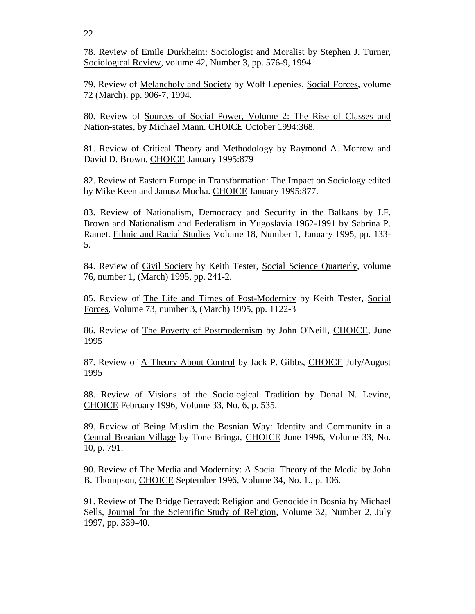22

78. Review of Emile Durkheim: Sociologist and Moralist by Stephen J. Turner, Sociological Review, volume 42, Number 3, pp. 576-9, 1994

79. Review of Melancholy and Society by Wolf Lepenies, Social Forces, volume 72 (March), pp. 906-7, 1994.

80. Review of Sources of Social Power, Volume 2: The Rise of Classes and Nation-states, by Michael Mann. CHOICE October 1994:368.

81. Review of Critical Theory and Methodology by Raymond A. Morrow and David D. Brown. CHOICE January 1995:879

82. Review of Eastern Europe in Transformation: The Impact on Sociology edited by Mike Keen and Janusz Mucha. CHOICE January 1995:877.

83. Review of Nationalism, Democracy and Security in the Balkans by J.F. Brown and Nationalism and Federalism in Yugoslavia 1962-1991 by Sabrina P. Ramet. Ethnic and Racial Studies Volume 18, Number 1, January 1995, pp. 133- 5.

84. Review of Civil Society by Keith Tester, Social Science Quarterly, volume 76, number 1, (March) 1995, pp. 241-2.

85. Review of The Life and Times of Post-Modernity by Keith Tester, Social Forces, Volume 73, number 3, (March) 1995, pp. 1122-3

86. Review of The Poverty of Postmodernism by John O'Neill, CHOICE, June 1995

87. Review of A Theory About Control by Jack P. Gibbs, CHOICE July/August 1995

88. Review of Visions of the Sociological Tradition by Donal N. Levine, CHOICE February 1996, Volume 33, No. 6, p. 535.

89. Review of Being Muslim the Bosnian Way: Identity and Community in a Central Bosnian Village by Tone Bringa, CHOICE June 1996, Volume 33, No. 10, p. 791.

90. Review of The Media and Modernity: A Social Theory of the Media by John B. Thompson, CHOICE September 1996, Volume 34, No. 1., p. 106.

91. Review of The Bridge Betrayed: Religion and Genocide in Bosnia by Michael Sells, Journal for the Scientific Study of Religion, Volume 32, Number 2, July 1997, pp. 339-40.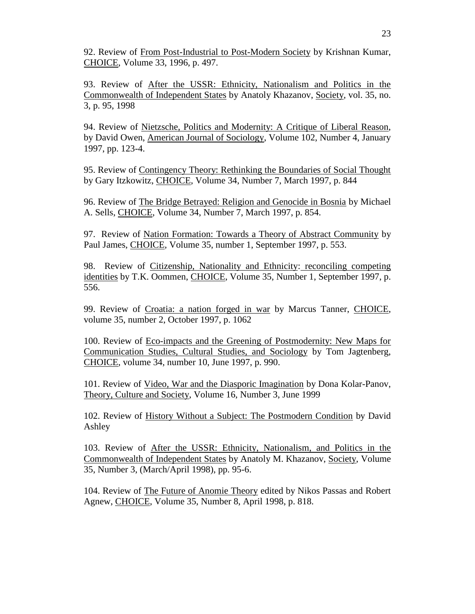92. Review of From Post-Industrial to Post-Modern Society by Krishnan Kumar, CHOICE, Volume 33, 1996, p. 497.

93. Review of After the USSR: Ethnicity, Nationalism and Politics in the Commonwealth of Independent States by Anatoly Khazanov, Society, vol. 35, no. 3, p. 95, 1998

94. Review of Nietzsche, Politics and Modernity: A Critique of Liberal Reason, by David Owen, American Journal of Sociology, Volume 102, Number 4, January 1997, pp. 123-4.

95. Review of Contingency Theory: Rethinking the Boundaries of Social Thought by Gary Itzkowitz, CHOICE, Volume 34, Number 7, March 1997, p. 844

96. Review of The Bridge Betrayed: Religion and Genocide in Bosnia by Michael A. Sells, CHOICE, Volume 34, Number 7, March 1997, p. 854.

97. Review of Nation Formation: Towards a Theory of Abstract Community by Paul James, CHOICE, Volume 35, number 1, September 1997, p. 553.

98. Review of Citizenship, Nationality and Ethnicity: reconciling competing identities by T.K. Oommen, CHOICE, Volume 35, Number 1, September 1997, p. 556.

99. Review of Croatia: a nation forged in war by Marcus Tanner, CHOICE, volume 35, number 2, October 1997, p. 1062

100. Review of Eco-impacts and the Greening of Postmodernity: New Maps for Communication Studies, Cultural Studies, and Sociology by Tom Jagtenberg, CHOICE, volume 34, number 10, June 1997, p. 990.

101. Review of Video, War and the Diasporic Imagination by Dona Kolar-Panov, Theory, Culture and Society, Volume 16, Number 3, June 1999

102. Review of History Without a Subject: The Postmodern Condition by David Ashley

103. Review of After the USSR: Ethnicity, Nationalism, and Politics in the Commonwealth of Independent States by Anatoly M. Khazanov, Society, Volume 35, Number 3, (March/April 1998), pp. 95-6.

104. Review of The Future of Anomie Theory edited by Nikos Passas and Robert Agnew, CHOICE, Volume 35, Number 8, April 1998, p. 818.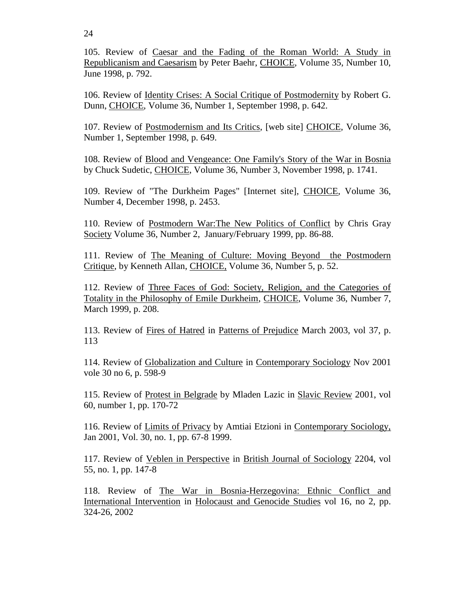105. Review of Caesar and the Fading of the Roman World: A Study in Republicanism and Caesarism by Peter Baehr, CHOICE, Volume 35, Number 10, June 1998, p. 792.

106. Review of Identity Crises: A Social Critique of Postmodernity by Robert G. Dunn, CHOICE, Volume 36, Number 1, September 1998, p. 642.

107. Review of Postmodernism and Its Critics, [web site] CHOICE, Volume 36, Number 1, September 1998, p. 649.

108. Review of Blood and Vengeance: One Family's Story of the War in Bosnia by Chuck Sudetic, CHOICE, Volume 36, Number 3, November 1998, p. 1741.

109. Review of "The Durkheim Pages" [Internet site], CHOICE, Volume 36, Number 4, December 1998, p. 2453.

110. Review of Postmodern War:The New Politics of Conflict by Chris Gray Society Volume 36, Number 2, January/February 1999, pp. 86-88.

111. Review of The Meaning of Culture: Moving Beyond the Postmodern Critique, by Kenneth Allan, CHOICE, Volume 36, Number 5, p. 52.

112. Review of Three Faces of God: Society, Religion, and the Categories of Totality in the Philosophy of Emile Durkheim, CHOICE, Volume 36, Number 7, March 1999, p. 208.

113. Review of Fires of Hatred in Patterns of Prejudice March 2003, vol 37, p. 113

114. Review of Globalization and Culture in Contemporary Sociology Nov 2001 vole 30 no 6, p. 598-9

115. Review of Protest in Belgrade by Mladen Lazic in Slavic Review 2001, vol 60, number 1, pp. 170-72

116. Review of Limits of Privacy by Amtiai Etzioni in Contemporary Sociology, Jan 2001, Vol. 30, no. 1, pp. 67-8 1999.

117. Review of Veblen in Perspective in British Journal of Sociology 2204, vol 55, no. 1, pp. 147-8

118. Review of The War in Bosnia-Herzegovina: Ethnic Conflict and International Intervention in Holocaust and Genocide Studies vol 16, no 2, pp. 324-26, 2002

24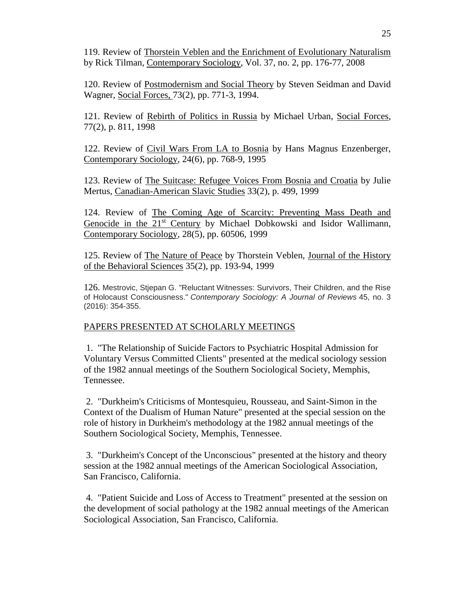119. Review of Thorstein Veblen and the Enrichment of Evolutionary Naturalism by Rick Tilman, Contemporary Sociology, Vol. 37, no. 2, pp. 176-77, 2008

120. Review of Postmodernism and Social Theory by Steven Seidman and David Wagner, Social Forces, 73(2), pp. 771-3, 1994.

121. Review of Rebirth of Politics in Russia by Michael Urban, Social Forces, 77(2), p. 811, 1998

122. Review of Civil Wars From LA to Bosnia by Hans Magnus Enzenberger, Contemporary Sociology, 24(6), pp. 768-9, 1995

123. Review of The Suitcase: Refugee Voices From Bosnia and Croatia by Julie Mertus, Canadian-American Slavic Studies 33(2), p. 499, 1999

124. Review of The Coming Age of Scarcity: Preventing Mass Death and Genocide in the 21<sup>st</sup> Century by Michael Dobkowski and Isidor Wallimann, Contemporary Sociology, 28(5), pp. 60506, 1999

125. Review of The Nature of Peace by Thorstein Veblen, Journal of the History of the Behavioral Sciences 35(2), pp. 193-94, 1999

126. Mestrovic, Stjepan G. "Reluctant Witnesses: Survivors, Their Children, and the Rise of Holocaust Consciousness." *Contemporary Sociology: A Journal of Reviews* 45, no. 3 (2016): 354-355.

## PAPERS PRESENTED AT SCHOLARLY MEETINGS

1. "The Relationship of Suicide Factors to Psychiatric Hospital Admission for Voluntary Versus Committed Clients" presented at the medical sociology session of the 1982 annual meetings of the Southern Sociological Society, Memphis, Tennessee.

2. "Durkheim's Criticisms of Montesquieu, Rousseau, and Saint-Simon in the Context of the Dualism of Human Nature" presented at the special session on the role of history in Durkheim's methodology at the 1982 annual meetings of the Southern Sociological Society, Memphis, Tennessee.

3. "Durkheim's Concept of the Unconscious" presented at the history and theory session at the 1982 annual meetings of the American Sociological Association, San Francisco, California.

4. "Patient Suicide and Loss of Access to Treatment" presented at the session on the development of social pathology at the 1982 annual meetings of the American Sociological Association, San Francisco, California.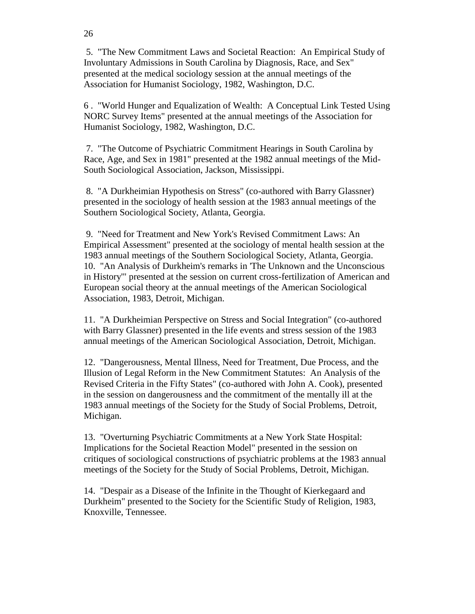5. "The New Commitment Laws and Societal Reaction: An Empirical Study of Involuntary Admissions in South Carolina by Diagnosis, Race, and Sex" presented at the medical sociology session at the annual meetings of the Association for Humanist Sociology, 1982, Washington, D.C.

6 . "World Hunger and Equalization of Wealth: A Conceptual Link Tested Using NORC Survey Items" presented at the annual meetings of the Association for Humanist Sociology, 1982, Washington, D.C.

7. "The Outcome of Psychiatric Commitment Hearings in South Carolina by Race, Age, and Sex in 1981" presented at the 1982 annual meetings of the Mid-South Sociological Association, Jackson, Mississippi.

8. "A Durkheimian Hypothesis on Stress" (co-authored with Barry Glassner) presented in the sociology of health session at the 1983 annual meetings of the Southern Sociological Society, Atlanta, Georgia.

9. "Need for Treatment and New York's Revised Commitment Laws: An Empirical Assessment" presented at the sociology of mental health session at the 1983 annual meetings of the Southern Sociological Society, Atlanta, Georgia. 10. "An Analysis of Durkheim's remarks in 'The Unknown and the Unconscious in History'" presented at the session on current cross-fertilization of American and European social theory at the annual meetings of the American Sociological Association, 1983, Detroit, Michigan.

11. "A Durkheimian Perspective on Stress and Social Integration" (co-authored with Barry Glassner) presented in the life events and stress session of the 1983 annual meetings of the American Sociological Association, Detroit, Michigan.

12. "Dangerousness, Mental Illness, Need for Treatment, Due Process, and the Illusion of Legal Reform in the New Commitment Statutes: An Analysis of the Revised Criteria in the Fifty States" (co-authored with John A. Cook), presented in the session on dangerousness and the commitment of the mentally ill at the 1983 annual meetings of the Society for the Study of Social Problems, Detroit, Michigan.

13. "Overturning Psychiatric Commitments at a New York State Hospital: Implications for the Societal Reaction Model" presented in the session on critiques of sociological constructions of psychiatric problems at the 1983 annual meetings of the Society for the Study of Social Problems, Detroit, Michigan.

14. "Despair as a Disease of the Infinite in the Thought of Kierkegaard and Durkheim" presented to the Society for the Scientific Study of Religion, 1983, Knoxville, Tennessee.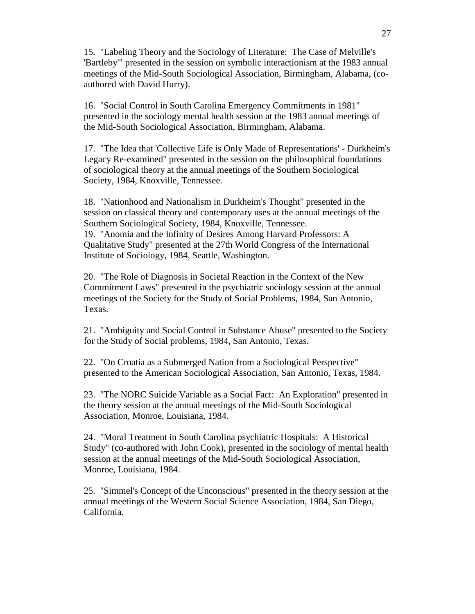15. "Labeling Theory and the Sociology of Literature: The Case of Melville's 'Bartleby'" presented in the session on symbolic interactionism at the 1983 annual meetings of the Mid-South Sociological Association, Birmingham, Alabama, (coauthored with David Hurry).

16. "Social Control in South Carolina Emergency Commitments in 1981" presented in the sociology mental health session at the 1983 annual meetings of the Mid-South Sociological Association, Birmingham, Alabama.

17. "The Idea that 'Collective Life is Only Made of Representations' - Durkheim's Legacy Re-examined" presented in the session on the philosophical foundations of sociological theory at the annual meetings of the Southern Sociological Society, 1984, Knoxville, Tennessee.

18. "Nationhood and Nationalism in Durkheim's Thought" presented in the session on classical theory and contemporary uses at the annual meetings of the Southern Sociological Society, 1984, Knoxville, Tennessee. 19. "Anomia and the Infinity of Desires Among Harvard Professors: A Qualitative Study" presented at the 27th World Congress of the International Institute of Sociology, 1984, Seattle, Washington.

20. "The Role of Diagnosis in Societal Reaction in the Context of the New Commitment Laws" presented in the psychiatric sociology session at the annual meetings of the Society for the Study of Social Problems, 1984, San Antonio, Texas.

21. "Ambiguity and Social Control in Substance Abuse" presented to the Society for the Study of Social problems, 1984, San Antonio, Texas.

22. "On Croatia as a Submerged Nation from a Sociological Perspective" presented to the American Sociological Association, San Antonio, Texas, 1984.

23. "The NORC Suicide Variable as a Social Fact: An Exploration" presented in the theory session at the annual meetings of the Mid-South Sociological Association, Monroe, Louisiana, 1984.

24. "Moral Treatment in South Carolina psychiatric Hospitals: A Historical Study" (co-authored with John Cook), presented in the sociology of mental health session at the annual meetings of the Mid-South Sociological Association, Monroe, Louisiana, 1984.

25. "Simmel's Concept of the Unconscious" presented in the theory session at the annual meetings of the Western Social Science Association, 1984, San Diego, California.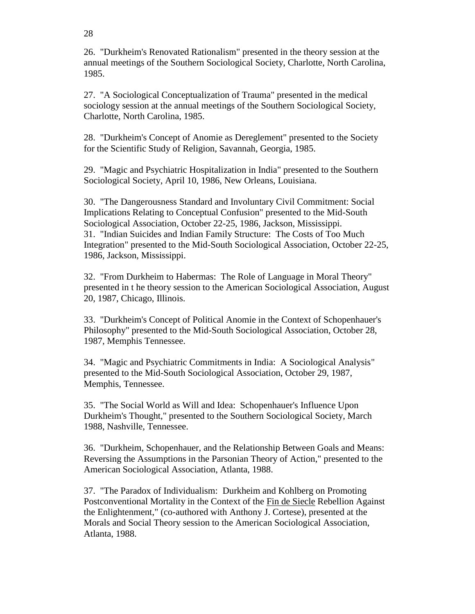26. "Durkheim's Renovated Rationalism" presented in the theory session at the annual meetings of the Southern Sociological Society, Charlotte, North Carolina, 1985.

27. "A Sociological Conceptualization of Trauma" presented in the medical sociology session at the annual meetings of the Southern Sociological Society, Charlotte, North Carolina, 1985.

28. "Durkheim's Concept of Anomie as Dereglement" presented to the Society for the Scientific Study of Religion, Savannah, Georgia, 1985.

29. "Magic and Psychiatric Hospitalization in India" presented to the Southern Sociological Society, April 10, 1986, New Orleans, Louisiana.

30. "The Dangerousness Standard and Involuntary Civil Commitment: Social Implications Relating to Conceptual Confusion" presented to the Mid-South Sociological Association, October 22-25, 1986, Jackson, Mississippi. 31. "Indian Suicides and Indian Family Structure: The Costs of Too Much Integration" presented to the Mid-South Sociological Association, October 22-25, 1986, Jackson, Mississippi.

32. "From Durkheim to Habermas: The Role of Language in Moral Theory" presented in t he theory session to the American Sociological Association, August 20, 1987, Chicago, Illinois.

33. "Durkheim's Concept of Political Anomie in the Context of Schopenhauer's Philosophy" presented to the Mid-South Sociological Association, October 28, 1987, Memphis Tennessee.

34. "Magic and Psychiatric Commitments in India: A Sociological Analysis" presented to the Mid-South Sociological Association, October 29, 1987, Memphis, Tennessee.

35. "The Social World as Will and Idea: Schopenhauer's Influence Upon Durkheim's Thought," presented to the Southern Sociological Society, March 1988, Nashville, Tennessee.

36. "Durkheim, Schopenhauer, and the Relationship Between Goals and Means: Reversing the Assumptions in the Parsonian Theory of Action," presented to the American Sociological Association, Atlanta, 1988.

37. "The Paradox of Individualism: Durkheim and Kohlberg on Promoting Postconventional Mortality in the Context of the Fin de Siecle Rebellion Against the Enlightenment," (co-authored with Anthony J. Cortese), presented at the Morals and Social Theory session to the American Sociological Association, Atlanta, 1988.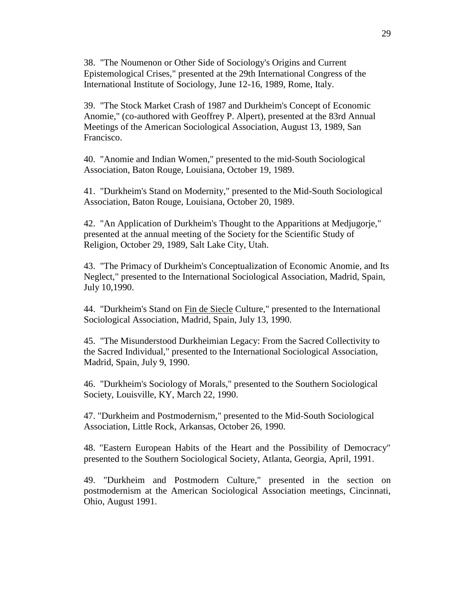38. "The Noumenon or Other Side of Sociology's Origins and Current Epistemological Crises," presented at the 29th International Congress of the International Institute of Sociology, June 12-16, 1989, Rome, Italy.

39. "The Stock Market Crash of 1987 and Durkheim's Concept of Economic Anomie," (co-authored with Geoffrey P. Alpert), presented at the 83rd Annual Meetings of the American Sociological Association, August 13, 1989, San Francisco.

40. "Anomie and Indian Women," presented to the mid-South Sociological Association, Baton Rouge, Louisiana, October 19, 1989.

41. "Durkheim's Stand on Modernity," presented to the Mid-South Sociological Association, Baton Rouge, Louisiana, October 20, 1989.

42. "An Application of Durkheim's Thought to the Apparitions at Medjugorje," presented at the annual meeting of the Society for the Scientific Study of Religion, October 29, 1989, Salt Lake City, Utah.

43. "The Primacy of Durkheim's Conceptualization of Economic Anomie, and Its Neglect," presented to the International Sociological Association, Madrid, Spain, July 10,1990.

44. "Durkheim's Stand on Fin de Siecle Culture," presented to the International Sociological Association, Madrid, Spain, July 13, 1990.

45. "The Misunderstood Durkheimian Legacy: From the Sacred Collectivity to the Sacred Individual," presented to the International Sociological Association, Madrid, Spain, July 9, 1990.

46. "Durkheim's Sociology of Morals," presented to the Southern Sociological Society, Louisville, KY, March 22, 1990.

47. "Durkheim and Postmodernism," presented to the Mid-South Sociological Association, Little Rock, Arkansas, October 26, 1990.

48. "Eastern European Habits of the Heart and the Possibility of Democracy" presented to the Southern Sociological Society, Atlanta, Georgia, April, 1991.

49. "Durkheim and Postmodern Culture," presented in the section on postmodernism at the American Sociological Association meetings, Cincinnati, Ohio, August 1991.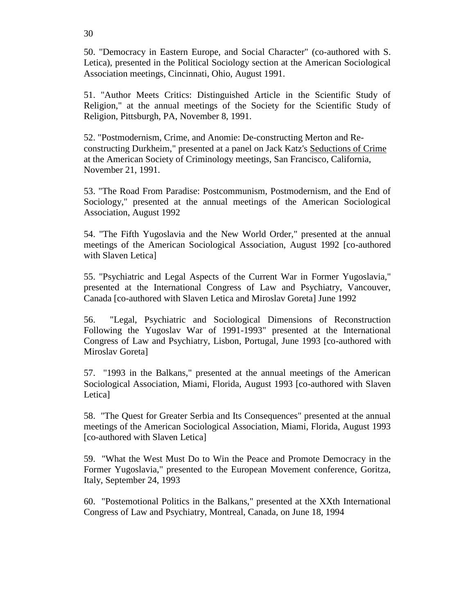50. "Democracy in Eastern Europe, and Social Character" (co-authored with S. Letica), presented in the Political Sociology section at the American Sociological Association meetings, Cincinnati, Ohio, August 1991.

51. "Author Meets Critics: Distinguished Article in the Scientific Study of Religion," at the annual meetings of the Society for the Scientific Study of Religion, Pittsburgh, PA, November 8, 1991.

52. "Postmodernism, Crime, and Anomie: De-constructing Merton and Reconstructing Durkheim," presented at a panel on Jack Katz's Seductions of Crime at the American Society of Criminology meetings, San Francisco, California, November 21, 1991.

53. "The Road From Paradise: Postcommunism, Postmodernism, and the End of Sociology," presented at the annual meetings of the American Sociological Association, August 1992

54. "The Fifth Yugoslavia and the New World Order," presented at the annual meetings of the American Sociological Association, August 1992 [co-authored with Slaven Letica]

55. "Psychiatric and Legal Aspects of the Current War in Former Yugoslavia," presented at the International Congress of Law and Psychiatry, Vancouver, Canada [co-authored with Slaven Letica and Miroslav Goreta] June 1992

56. "Legal, Psychiatric and Sociological Dimensions of Reconstruction Following the Yugoslav War of 1991-1993" presented at the International Congress of Law and Psychiatry, Lisbon, Portugal, June 1993 [co-authored with Miroslav Goreta]

57. "1993 in the Balkans," presented at the annual meetings of the American Sociological Association, Miami, Florida, August 1993 [co-authored with Slaven Letica]

58. "The Quest for Greater Serbia and Its Consequences" presented at the annual meetings of the American Sociological Association, Miami, Florida, August 1993 [co-authored with Slaven Letica]

59. "What the West Must Do to Win the Peace and Promote Democracy in the Former Yugoslavia," presented to the European Movement conference, Goritza, Italy, September 24, 1993

60. "Postemotional Politics in the Balkans," presented at the XXth International Congress of Law and Psychiatry, Montreal, Canada, on June 18, 1994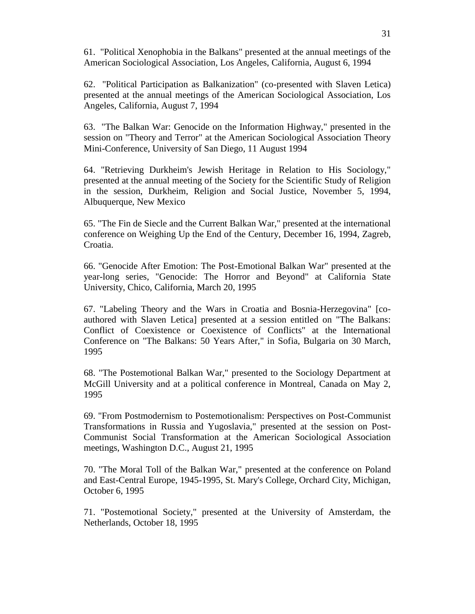61. "Political Xenophobia in the Balkans" presented at the annual meetings of the American Sociological Association, Los Angeles, California, August 6, 1994

62. "Political Participation as Balkanization" (co-presented with Slaven Letica) presented at the annual meetings of the American Sociological Association, Los Angeles, California, August 7, 1994

63. "The Balkan War: Genocide on the Information Highway," presented in the session on "Theory and Terror" at the American Sociological Association Theory Mini-Conference, University of San Diego, 11 August 1994

64. "Retrieving Durkheim's Jewish Heritage in Relation to His Sociology," presented at the annual meeting of the Society for the Scientific Study of Religion in the session, Durkheim, Religion and Social Justice, November 5, 1994, Albuquerque, New Mexico

65. "The Fin de Siecle and the Current Balkan War," presented at the international conference on Weighing Up the End of the Century, December 16, 1994, Zagreb, Croatia.

66. "Genocide After Emotion: The Post-Emotional Balkan War" presented at the year-long series, "Genocide: The Horror and Beyond" at California State University, Chico, California, March 20, 1995

67. "Labeling Theory and the Wars in Croatia and Bosnia-Herzegovina" [coauthored with Slaven Letica] presented at a session entitled on "The Balkans: Conflict of Coexistence or Coexistence of Conflicts" at the International Conference on "The Balkans: 50 Years After," in Sofia, Bulgaria on 30 March, 1995

68. "The Postemotional Balkan War," presented to the Sociology Department at McGill University and at a political conference in Montreal, Canada on May 2, 1995

69. "From Postmodernism to Postemotionalism: Perspectives on Post-Communist Transformations in Russia and Yugoslavia," presented at the session on Post-Communist Social Transformation at the American Sociological Association meetings, Washington D.C., August 21, 1995

70. "The Moral Toll of the Balkan War," presented at the conference on Poland and East-Central Europe, 1945-1995, St. Mary's College, Orchard City, Michigan, October 6, 1995

71. "Postemotional Society," presented at the University of Amsterdam, the Netherlands, October 18, 1995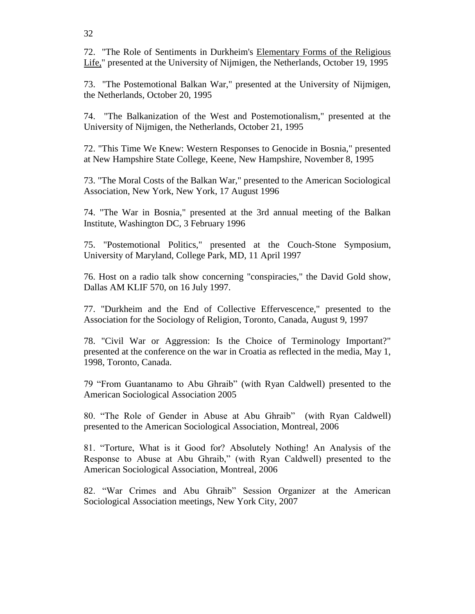32

72. "The Role of Sentiments in Durkheim's Elementary Forms of the Religious Life," presented at the University of Nijmigen, the Netherlands, October 19, 1995

73. "The Postemotional Balkan War," presented at the University of Nijmigen, the Netherlands, October 20, 1995

74. "The Balkanization of the West and Postemotionalism," presented at the University of Nijmigen, the Netherlands, October 21, 1995

72. "This Time We Knew: Western Responses to Genocide in Bosnia," presented at New Hampshire State College, Keene, New Hampshire, November 8, 1995

73. "The Moral Costs of the Balkan War," presented to the American Sociological Association, New York, New York, 17 August 1996

74. "The War in Bosnia," presented at the 3rd annual meeting of the Balkan Institute, Washington DC, 3 February 1996

75. "Postemotional Politics," presented at the Couch-Stone Symposium, University of Maryland, College Park, MD, 11 April 1997

76. Host on a radio talk show concerning "conspiracies," the David Gold show, Dallas AM KLIF 570, on 16 July 1997.

77. "Durkheim and the End of Collective Effervescence," presented to the Association for the Sociology of Religion, Toronto, Canada, August 9, 1997

78. "Civil War or Aggression: Is the Choice of Terminology Important?" presented at the conference on the war in Croatia as reflected in the media, May 1, 1998, Toronto, Canada.

79 "From Guantanamo to Abu Ghraib" (with Ryan Caldwell) presented to the American Sociological Association 2005

80. "The Role of Gender in Abuse at Abu Ghraib" (with Ryan Caldwell) presented to the American Sociological Association, Montreal, 2006

81. "Torture, What is it Good for? Absolutely Nothing! An Analysis of the Response to Abuse at Abu Ghraib," (with Ryan Caldwell) presented to the American Sociological Association, Montreal, 2006

82. "War Crimes and Abu Ghraib" Session Organizer at the American Sociological Association meetings, New York City, 2007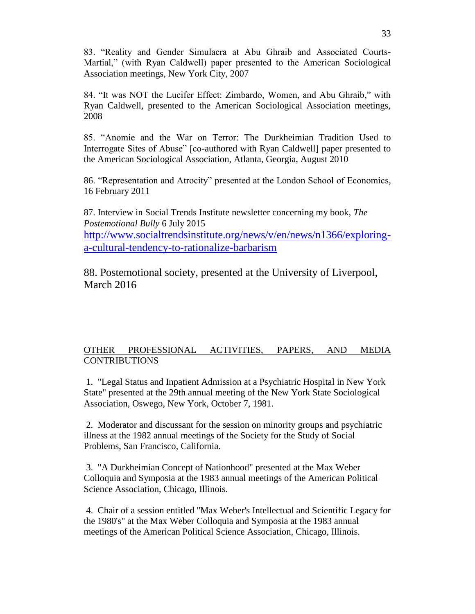83. "Reality and Gender Simulacra at Abu Ghraib and Associated Courts-Martial," (with Ryan Caldwell) paper presented to the American Sociological Association meetings, New York City, 2007

84. "It was NOT the Lucifer Effect: Zimbardo, Women, and Abu Ghraib," with Ryan Caldwell, presented to the American Sociological Association meetings, 2008

85. "Anomie and the War on Terror: The Durkheimian Tradition Used to Interrogate Sites of Abuse" [co-authored with Ryan Caldwell] paper presented to the American Sociological Association, Atlanta, Georgia, August 2010

86. "Representation and Atrocity" presented at the London School of Economics, 16 February 2011

87. Interview in Social Trends Institute newsletter concerning my book, *The Postemotional Bully* 6 July 2015 [http://www.socialtrendsinstitute.org/news/v/en/news/n1366/exploring](http://www.socialtrendsinstitute.org/news/v/en/news/n1366/exploring-a-cultural-tendency-to-rationalize-barbarism)[a-cultural-tendency-to-rationalize-barbarism](http://www.socialtrendsinstitute.org/news/v/en/news/n1366/exploring-a-cultural-tendency-to-rationalize-barbarism)

88. Postemotional society, presented at the University of Liverpool, March 2016

# OTHER PROFESSIONAL ACTIVITIES, PAPERS, AND MEDIA **CONTRIBUTIONS**

1. "Legal Status and Inpatient Admission at a Psychiatric Hospital in New York State" presented at the 29th annual meeting of the New York State Sociological Association, Oswego, New York, October 7, 1981.

2. Moderator and discussant for the session on minority groups and psychiatric illness at the 1982 annual meetings of the Society for the Study of Social Problems, San Francisco, California.

3. "A Durkheimian Concept of Nationhood" presented at the Max Weber Colloquia and Symposia at the 1983 annual meetings of the American Political Science Association, Chicago, Illinois.

4. Chair of a session entitled "Max Weber's Intellectual and Scientific Legacy for the 1980's" at the Max Weber Colloquia and Symposia at the 1983 annual meetings of the American Political Science Association, Chicago, Illinois.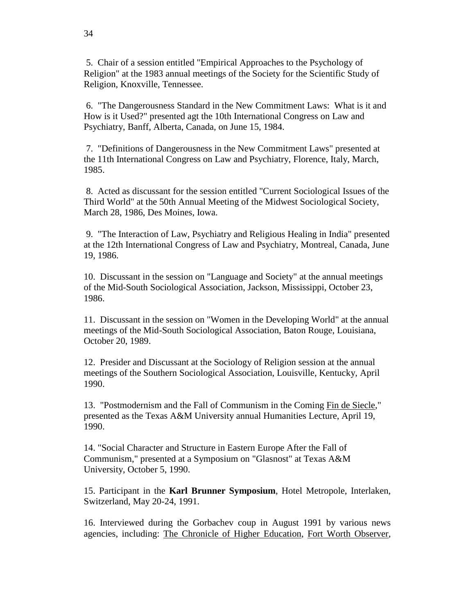5. Chair of a session entitled "Empirical Approaches to the Psychology of Religion" at the 1983 annual meetings of the Society for the Scientific Study of Religion, Knoxville, Tennessee.

6. "The Dangerousness Standard in the New Commitment Laws: What is it and How is it Used?" presented agt the 10th International Congress on Law and Psychiatry, Banff, Alberta, Canada, on June 15, 1984.

7. "Definitions of Dangerousness in the New Commitment Laws" presented at the 11th International Congress on Law and Psychiatry, Florence, Italy, March, 1985.

8. Acted as discussant for the session entitled "Current Sociological Issues of the Third World" at the 50th Annual Meeting of the Midwest Sociological Society, March 28, 1986, Des Moines, Iowa.

9. "The Interaction of Law, Psychiatry and Religious Healing in India" presented at the 12th International Congress of Law and Psychiatry, Montreal, Canada, June 19, 1986.

10. Discussant in the session on "Language and Society" at the annual meetings of the Mid-South Sociological Association, Jackson, Mississippi, October 23, 1986.

11. Discussant in the session on "Women in the Developing World" at the annual meetings of the Mid-South Sociological Association, Baton Rouge, Louisiana, October 20, 1989.

12. Presider and Discussant at the Sociology of Religion session at the annual meetings of the Southern Sociological Association, Louisville, Kentucky, April 1990.

13. "Postmodernism and the Fall of Communism in the Coming Fin de Siecle," presented as the Texas A&M University annual Humanities Lecture, April 19, 1990.

14. "Social Character and Structure in Eastern Europe After the Fall of Communism," presented at a Symposium on "Glasnost" at Texas A&M University, October 5, 1990.

15. Participant in the **Karl Brunner Symposium**, Hotel Metropole, Interlaken, Switzerland, May 20-24, 1991.

16. Interviewed during the Gorbachev coup in August 1991 by various news agencies, including: The Chronicle of Higher Education, Fort Worth Observer,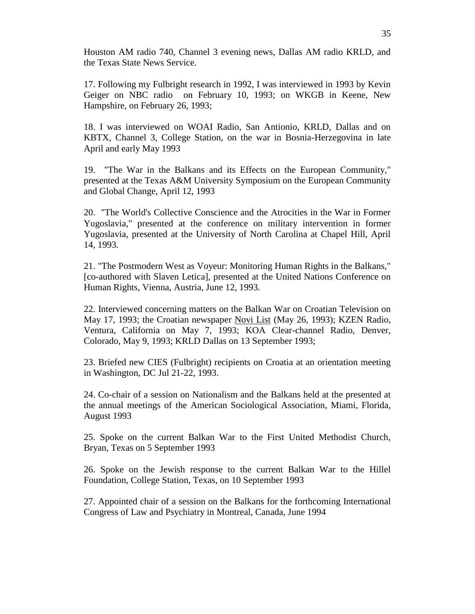Houston AM radio 740, Channel 3 evening news, Dallas AM radio KRLD, and the Texas State News Service.

17. Following my Fulbright research in 1992, I was interviewed in 1993 by Kevin Geiger on NBC radio on February 10, 1993; on WKGB in Keene, New Hampshire, on February 26, 1993;

18. I was interviewed on WOAI Radio, San Antionio, KRLD, Dallas and on KBTX, Channel 3, College Station, on the war in Bosnia-Herzegovina in late April and early May 1993

19. "The War in the Balkans and its Effects on the European Community," presented at the Texas A&M University Symposium on the European Community and Global Change, April 12, 1993

20. "The World's Collective Conscience and the Atrocities in the War in Former Yugoslavia," presented at the conference on military intervention in former Yugoslavia, presented at the University of North Carolina at Chapel Hill, April 14, 1993.

21. "The Postmodern West as Voyeur: Monitoring Human Rights in the Balkans," [co-authored with Slaven Letica], presented at the United Nations Conference on Human Rights, Vienna, Austria, June 12, 1993.

22. Interviewed concerning matters on the Balkan War on Croatian Television on May 17, 1993; the Croatian newspaper Novi List (May 26, 1993); KZEN Radio, Ventura, California on May 7, 1993; KOA Clear-channel Radio, Denver, Colorado, May 9, 1993; KRLD Dallas on 13 September 1993;

23. Briefed new CIES (Fulbright) recipients on Croatia at an orientation meeting in Washington, DC Jul 21-22, 1993.

24. Co-chair of a session on Nationalism and the Balkans held at the presented at the annual meetings of the American Sociological Association, Miami, Florida, August 1993

25. Spoke on the current Balkan War to the First United Methodist Church, Bryan, Texas on 5 September 1993

26. Spoke on the Jewish response to the current Balkan War to the Hillel Foundation, College Station, Texas, on 10 September 1993

27. Appointed chair of a session on the Balkans for the forthcoming International Congress of Law and Psychiatry in Montreal, Canada, June 1994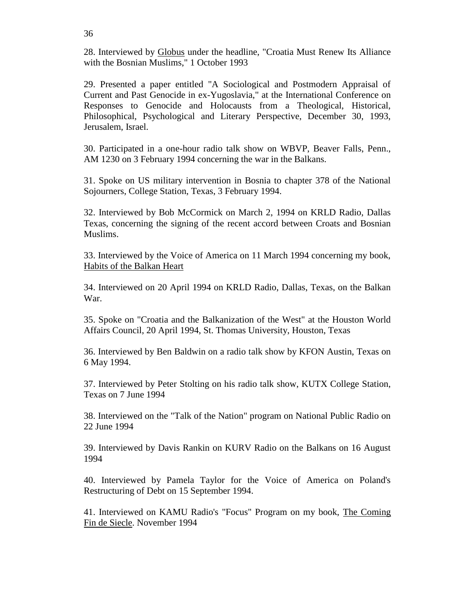28. Interviewed by Globus under the headline, "Croatia Must Renew Its Alliance with the Bosnian Muslims," 1 October 1993

29. Presented a paper entitled "A Sociological and Postmodern Appraisal of Current and Past Genocide in ex-Yugoslavia," at the International Conference on Responses to Genocide and Holocausts from a Theological, Historical, Philosophical, Psychological and Literary Perspective, December 30, 1993, Jerusalem, Israel.

30. Participated in a one-hour radio talk show on WBVP, Beaver Falls, Penn., AM 1230 on 3 February 1994 concerning the war in the Balkans.

31. Spoke on US military intervention in Bosnia to chapter 378 of the National Sojourners, College Station, Texas, 3 February 1994.

32. Interviewed by Bob McCormick on March 2, 1994 on KRLD Radio, Dallas Texas, concerning the signing of the recent accord between Croats and Bosnian Muslims.

33. Interviewed by the Voice of America on 11 March 1994 concerning my book, Habits of the Balkan Heart

34. Interviewed on 20 April 1994 on KRLD Radio, Dallas, Texas, on the Balkan War.

35. Spoke on "Croatia and the Balkanization of the West" at the Houston World Affairs Council, 20 April 1994, St. Thomas University, Houston, Texas

36. Interviewed by Ben Baldwin on a radio talk show by KFON Austin, Texas on 6 May 1994.

37. Interviewed by Peter Stolting on his radio talk show, KUTX College Station, Texas on 7 June 1994

38. Interviewed on the "Talk of the Nation" program on National Public Radio on 22 June 1994

39. Interviewed by Davis Rankin on KURV Radio on the Balkans on 16 August 1994

40. Interviewed by Pamela Taylor for the Voice of America on Poland's Restructuring of Debt on 15 September 1994.

41. Interviewed on KAMU Radio's "Focus" Program on my book, The Coming Fin de Siecle. November 1994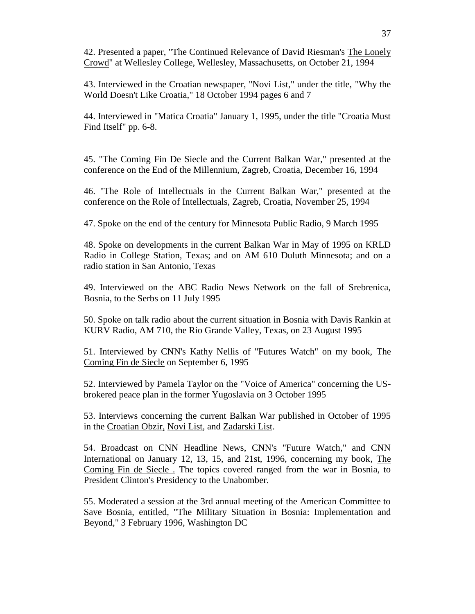42. Presented a paper, "The Continued Relevance of David Riesman's The Lonely Crowd" at Wellesley College, Wellesley, Massachusetts, on October 21, 1994

43. Interviewed in the Croatian newspaper, "Novi List," under the title, "Why the World Doesn't Like Croatia," 18 October 1994 pages 6 and 7

44. Interviewed in "Matica Croatia" January 1, 1995, under the title "Croatia Must Find Itself" pp. 6-8.

45. "The Coming Fin De Siecle and the Current Balkan War," presented at the conference on the End of the Millennium, Zagreb, Croatia, December 16, 1994

46. "The Role of Intellectuals in the Current Balkan War," presented at the conference on the Role of Intellectuals, Zagreb, Croatia, November 25, 1994

47. Spoke on the end of the century for Minnesota Public Radio, 9 March 1995

48. Spoke on developments in the current Balkan War in May of 1995 on KRLD Radio in College Station, Texas; and on AM 610 Duluth Minnesota; and on a radio station in San Antonio, Texas

49. Interviewed on the ABC Radio News Network on the fall of Srebrenica, Bosnia, to the Serbs on 11 July 1995

50. Spoke on talk radio about the current situation in Bosnia with Davis Rankin at KURV Radio, AM 710, the Rio Grande Valley, Texas, on 23 August 1995

51. Interviewed by CNN's Kathy Nellis of "Futures Watch" on my book, The Coming Fin de Siecle on September 6, 1995

52. Interviewed by Pamela Taylor on the "Voice of America" concerning the USbrokered peace plan in the former Yugoslavia on 3 October 1995

53. Interviews concerning the current Balkan War published in October of 1995 in the Croatian Obzir, Novi List, and Zadarski List.

54. Broadcast on CNN Headline News, CNN's "Future Watch," and CNN International on January 12, 13, 15, and 21st, 1996, concerning my book, The Coming Fin de Siecle . The topics covered ranged from the war in Bosnia, to President Clinton's Presidency to the Unabomber.

55. Moderated a session at the 3rd annual meeting of the American Committee to Save Bosnia, entitled, "The Military Situation in Bosnia: Implementation and Beyond," 3 February 1996, Washington DC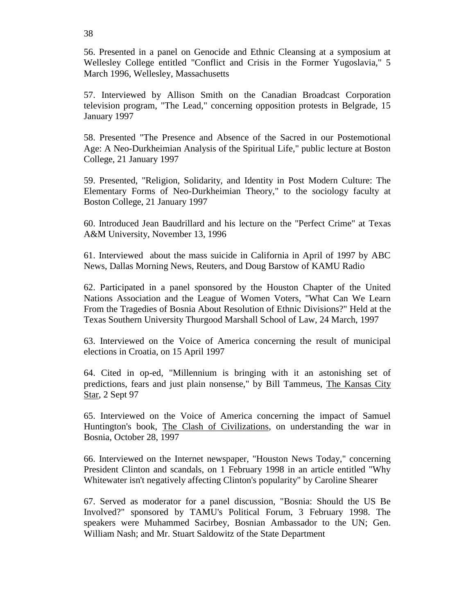56. Presented in a panel on Genocide and Ethnic Cleansing at a symposium at Wellesley College entitled "Conflict and Crisis in the Former Yugoslavia," 5 March 1996, Wellesley, Massachusetts

57. Interviewed by Allison Smith on the Canadian Broadcast Corporation television program, "The Lead," concerning opposition protests in Belgrade, 15 January 1997

58. Presented "The Presence and Absence of the Sacred in our Postemotional Age: A Neo-Durkheimian Analysis of the Spiritual Life," public lecture at Boston College, 21 January 1997

59. Presented, "Religion, Solidarity, and Identity in Post Modern Culture: The Elementary Forms of Neo-Durkheimian Theory," to the sociology faculty at Boston College, 21 January 1997

60. Introduced Jean Baudrillard and his lecture on the "Perfect Crime" at Texas A&M University, November 13, 1996

61. Interviewed about the mass suicide in California in April of 1997 by ABC News, Dallas Morning News, Reuters, and Doug Barstow of KAMU Radio

62. Participated in a panel sponsored by the Houston Chapter of the United Nations Association and the League of Women Voters, "What Can We Learn From the Tragedies of Bosnia About Resolution of Ethnic Divisions?" Held at the Texas Southern University Thurgood Marshall School of Law, 24 March, 1997

63. Interviewed on the Voice of America concerning the result of municipal elections in Croatia, on 15 April 1997

64. Cited in op-ed, "Millennium is bringing with it an astonishing set of predictions, fears and just plain nonsense," by Bill Tammeus, The Kansas City Star, 2 Sept 97

65. Interviewed on the Voice of America concerning the impact of Samuel Huntington's book, The Clash of Civilizations, on understanding the war in Bosnia, October 28, 1997

66. Interviewed on the Internet newspaper, "Houston News Today," concerning President Clinton and scandals, on 1 February 1998 in an article entitled "Why Whitewater isn't negatively affecting Clinton's popularity" by Caroline Shearer

67. Served as moderator for a panel discussion, "Bosnia: Should the US Be Involved?" sponsored by TAMU's Political Forum, 3 February 1998. The speakers were Muhammed Sacirbey, Bosnian Ambassador to the UN; Gen. William Nash; and Mr. Stuart Saldowitz of the State Department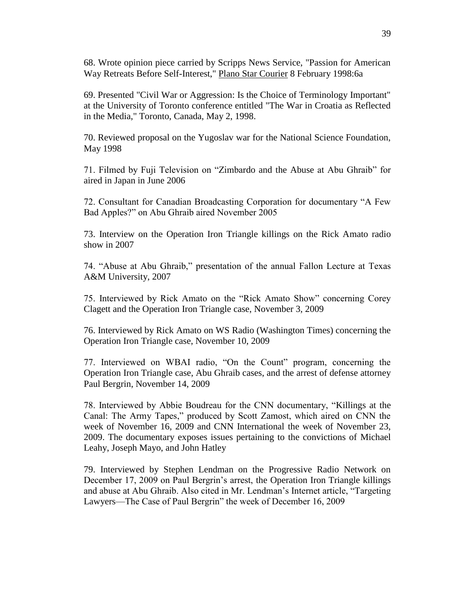68. Wrote opinion piece carried by Scripps News Service, "Passion for American Way Retreats Before Self-Interest," Plano Star Courier 8 February 1998:6a

69. Presented "Civil War or Aggression: Is the Choice of Terminology Important" at the University of Toronto conference entitled "The War in Croatia as Reflected in the Media," Toronto, Canada, May 2, 1998.

70. Reviewed proposal on the Yugoslav war for the National Science Foundation, May 1998

71. Filmed by Fuji Television on "Zimbardo and the Abuse at Abu Ghraib" for aired in Japan in June 2006

72. Consultant for Canadian Broadcasting Corporation for documentary "A Few Bad Apples?" on Abu Ghraib aired November 2005

73. Interview on the Operation Iron Triangle killings on the Rick Amato radio show in 2007

74. "Abuse at Abu Ghraib," presentation of the annual Fallon Lecture at Texas A&M University, 2007

75. Interviewed by Rick Amato on the "Rick Amato Show" concerning Corey Clagett and the Operation Iron Triangle case, November 3, 2009

76. Interviewed by Rick Amato on WS Radio (Washington Times) concerning the Operation Iron Triangle case, November 10, 2009

77. Interviewed on WBAI radio, "On the Count" program, concerning the Operation Iron Triangle case, Abu Ghraib cases, and the arrest of defense attorney Paul Bergrin, November 14, 2009

78. Interviewed by Abbie Boudreau for the CNN documentary, "Killings at the Canal: The Army Tapes," produced by Scott Zamost, which aired on CNN the week of November 16, 2009 and CNN International the week of November 23, 2009. The documentary exposes issues pertaining to the convictions of Michael Leahy, Joseph Mayo, and John Hatley

79. Interviewed by Stephen Lendman on the Progressive Radio Network on December 17, 2009 on Paul Bergrin's arrest, the Operation Iron Triangle killings and abuse at Abu Ghraib. Also cited in Mr. Lendman's Internet article, "Targeting Lawyers—The Case of Paul Bergrin" the week of December 16, 2009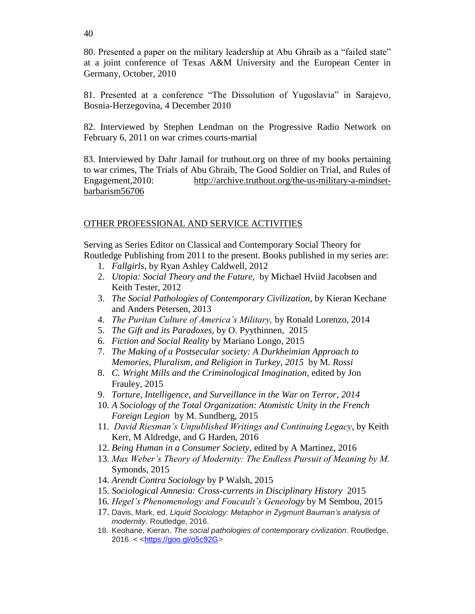80. Presented a paper on the military leadership at Abu Ghraib as a "failed state" at a joint conference of Texas A&M University and the European Center in Germany, October, 2010

81. Presented at a conference "The Dissolution of Yugoslavia" in Sarajevo, Bosnia-Herzegovina, 4 December 2010

82. Interviewed by Stephen Lendman on the Progressive Radio Network on February 6, 2011 on war crimes courts-martial

83. Interviewed by Dahr Jamail for truthout.org on three of my books pertaining to war crimes, The Trials of Abu Ghraib, The Good Soldier on Trial, and Rules of Engagement, 2010: [http://archive.truthout.org/the-us-military-a-mindset](http://archive.truthout.org/the-us-military-a-mindset-barbarism56706)[barbarism56706](http://archive.truthout.org/the-us-military-a-mindset-barbarism56706)

## OTHER PROFESSIONAL AND SERVICE ACTIVITIES

Serving as Series Editor on Classical and Contemporary Social Theory for Routledge Publishing from 2011 to the present. Books published in my series are:

- 1. *Fallgirls*, by Ryan Ashley Caldwell, 2012
- 2. *Utopia: Social Theory and the Future,* by Michael Hviid Jacobsen and Keith Tester, 2012
- 3. *The Social Pathologies of Contemporary Civilization*, by Kieran Kechane and Anders Petersen, 2013
- 4. *The Puritan Culture of America's Military,* by Ronald Lorenzo, 2014
- 5. *The Gift and its Paradoxes,* by O. Pyythinnen, 2015
- 6. *Fiction and Social Reality* by Mariano Longo, 2015
- 7. *The Making of a Postsecular society: A Durkheimian Approach to Memories, Pluralism, and Religion in Turkey, 2015* by M*. Rossi*
- 8. *C. Wright Mills and the Criminological Imagination*, edited by Jon Frauley, 2015
- 9. *Torture, Intelligence, and Surveillance in the War on Terror, 2014*
- 10. *A Sociology of the Total Organization: Atomistic Unity in the French Foreign Legion* by M. Sundberg, 2015
- 11. *David Riesman's Unpublished Writings and Continuing Legacy*, by Keith Kerr, M Aldredge, and G Harden, 2016
- 12. *Being Human in a Consumer Society,* edited by A Martinez, 2016
- 13. *Max Weber's Theory of Modernity: The Endless Pursuit of Meaning by M.* Symonds, 2015
- 14. *Arendt Contra Sociology* by P Walsh, 2015
- 15. *Sociological Amnesia: Cross-currents in Disciplinary History* 2015
- 16. *Hegel's Phenomenology and Foucault's Geneology* by M Sembou, 2015
- 17. Davis, Mark, ed. *Liquid Sociology: Metaphor in Zygmunt Bauman's analysis of modernity*. Routledge, 2016.
- 18. Keohane, Kieran. *The social pathologies of contemporary civilization*. Routledge, 2016. < [<https://goo.gl/o5c92G>](https://goo.gl/o5c92G)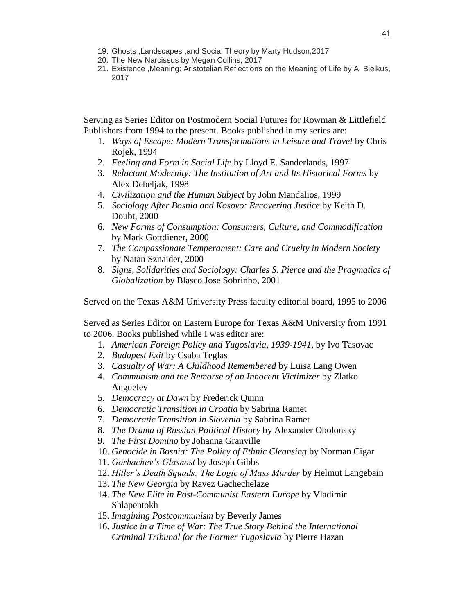- 19. Ghosts ,Landscapes ,and Social Theory by Marty Hudson,2017
- 20. The New Narcissus by Megan Collins, 2017
- 21. Existence ,Meaning: Aristotelian Reflections on the Meaning of Life by A. Bielkus, 2017

Serving as Series Editor on Postmodern Social Futures for Rowman & Littlefield Publishers from 1994 to the present. Books published in my series are:

- 1. *Ways of Escape: Modern Transformations in Leisure and Travel* by Chris Rojek, 1994
- 2. *Feeling and Form in Social Life* by Lloyd E. Sanderlands, 1997
- 3. *Reluctant Modernity: The Institution of Art and Its Historical Forms* by Alex Debeljak, 1998
- 4. *Civilization and the Human Subject* by John Mandalios, 1999
- 5. *Sociology After Bosnia and Kosovo: Recovering Justice* by Keith D. Doubt, 2000
- 6. *New Forms of Consumption: Consumers, Culture, and Commodification* by Mark Gottdiener, 2000
- 7. *The Compassionate Temperament: Care and Cruelty in Modern Society* by Natan Sznaider, 2000
- 8. *Signs, Solidarities and Sociology: Charles S. Pierce and the Pragmatics of Globalization* by Blasco Jose Sobrinho, 2001

Served on the Texas A&M University Press faculty editorial board, 1995 to 2006

Served as Series Editor on Eastern Europe for Texas A&M University from 1991 to 2006. Books published while I was editor are:

- 1. *American Foreign Policy and Yugoslavia, 1939-1941,* by Ivo Tasovac
- 2. *Budapest Exit* by Csaba Teglas
- 3. *Casualty of War: A Childhood Remembered* by Luisa Lang Owen
- 4. *Communism and the Remorse of an Innocent Victimizer* by Zlatko Anguelev
- 5. *Democracy at Dawn* by Frederick Quinn
- 6. *Democratic Transition in Croatia* by Sabrina Ramet
- 7. *Democratic Transition in Slovenia* by Sabrina Ramet
- 8. *The Drama of Russian Political History* by Alexander Obolonsky
- 9. *The First Domino* by Johanna Granville
- 10. *Genocide in Bosnia: The Policy of Ethnic Cleansing* by Norman Cigar
- 11. *Gorbachev's Glasnost* by Joseph Gibbs
- 12. *Hitler's Death Squads: The Logic of Mass Murder* by Helmut Langebain
- 13. *The New Georgia* by Ravez Gachechelaze
- 14. *The New Elite in Post-Communist Eastern Europe* by Vladimir Shlapentokh
- 15. *Imagining Postcommunism* by Beverly James
- 16. *Justice in a Time of War: The True Story Behind the International Criminal Tribunal for the Former Yugoslavia* by Pierre Hazan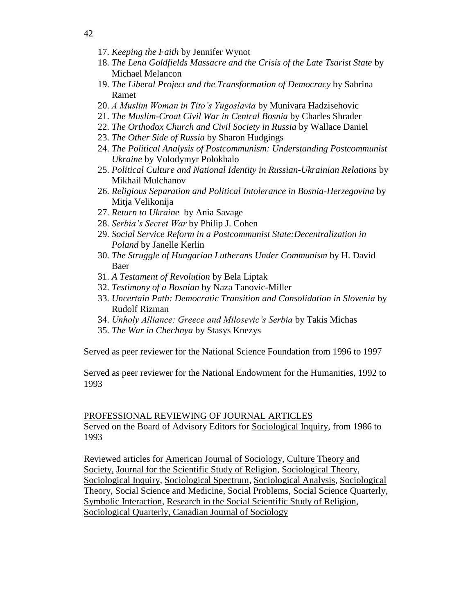- 17. *Keeping the Faith* by Jennifer Wynot
- 18. *The Lena Goldfields Massacre and the Crisis of the Late Tsarist State* by Michael Melancon
- 19. *The Liberal Project and the Transformation of Democracy* by Sabrina Ramet
- 20. *A Muslim Woman in Tito's Yugoslavia* by Munivara Hadzisehovic
- 21. *The Muslim-Croat Civil War in Central Bosnia* by Charles Shrader
- 22. *The Orthodox Church and Civil Society in Russia* by Wallace Daniel
- 23. *The Other Side of Russia* by Sharon Hudgings
- 24. *The Political Analysis of Postcommunism: Understanding Postcommunist Ukraine* by Volodymyr Polokhalo
- 25. *Political Culture and National Identity in Russian-Ukrainian Relations* by Mikhail Mulchanov
- 26. *Religious Separation and Political Intolerance in Bosnia-Herzegovina* by Mitja Velikonija
- 27. *Return to Ukraine* by Ania Savage
- 28. *Serbia's Secret War* by Philip J. Cohen
- 29. *Social Service Reform in a Postcommunist State:Decentralization in Poland* by Janelle Kerlin
- 30. *The Struggle of Hungarian Lutherans Under Communism* by H. David Baer
- 31. *A Testament of Revolution* by Bela Liptak
- 32. *Testimony of a Bosnian* by Naza Tanovic-Miller
- 33. *Uncertain Path: Democratic Transition and Consolidation in Slovenia* by Rudolf Rizman
- 34. *Unholy Alliance: Greece and Milosevic's Serbia* by Takis Michas
- 35. *The War in Chechnya* by Stasys Knezys

Served as peer reviewer for the National Science Foundation from 1996 to 1997

Served as peer reviewer for the National Endowment for the Humanities, 1992 to 1993

#### PROFESSIONAL REVIEWING OF JOURNAL ARTICLES

Served on the Board of Advisory Editors for Sociological Inquiry, from 1986 to 1993

Reviewed articles for American Journal of Sociology, Culture Theory and Society, Journal for the Scientific Study of Religion, Sociological Theory, Sociological Inquiry, Sociological Spectrum, Sociological Analysis, Sociological Theory, Social Science and Medicine, Social Problems, Social Science Quarterly, Symbolic Interaction, Research in the Social Scientific Study of Religion, Sociological Quarterly, Canadian Journal of Sociology